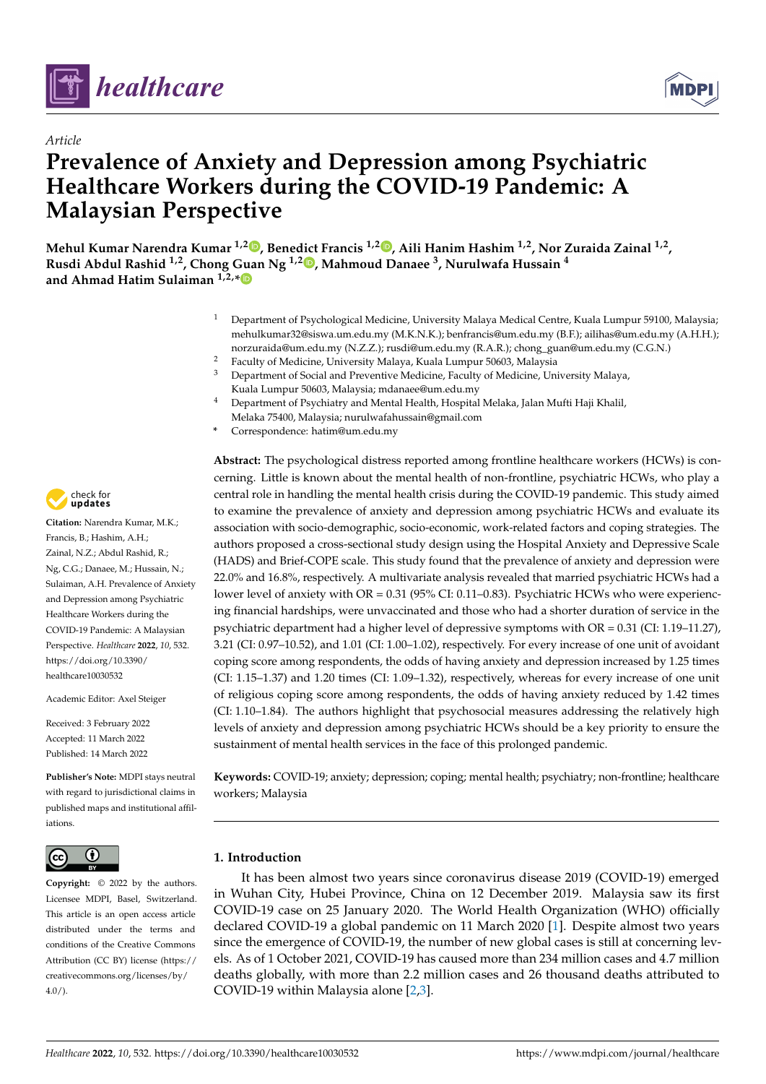



# **Prevalence of Anxiety and Depression among Psychiatric Healthcare Workers during the COVID-19 Pandemic: A Malaysian Perspective**

**Mehul Kumar Narendra Kumar 1,[2](https://orcid.org/0000-0002-4394-9932) , Benedict Francis 1,2 [,](https://orcid.org/0000-0001-9322-0472) Aili Hanim Hashim 1,2, Nor Zuraida Zainal 1,2 , Rusdi Abdul Rashid 1,2, Chong Guan Ng 1,2 [,](https://orcid.org/0000-0003-1755-9188) Mahmoud Danaee <sup>3</sup> , Nurulwafa Hussain <sup>4</sup> and Ahmad Hatim Sulaiman 1,2,[\\*](https://orcid.org/0000-0002-8364-4594)**

- <sup>1</sup> Department of Psychological Medicine, University Malaya Medical Centre, Kuala Lumpur 59100, Malaysia; mehulkumar32@siswa.um.edu.my (M.K.N.K.); benfrancis@um.edu.my (B.F.); ailihas@um.edu.my (A.H.H.); norzuraida@um.edu.my (N.Z.Z.); rusdi@um.edu.my (R.A.R.); chong\_guan@um.edu.my (C.G.N.)
- <sup>2</sup> Faculty of Medicine, University Malaya, Kuala Lumpur 50603, Malaysia<br><sup>3</sup> Department of Social and Preventive Medicine Faculty of Medicine Lin
- <sup>3</sup> Department of Social and Preventive Medicine, Faculty of Medicine, University Malaya, Kuala Lumpur 50603, Malaysia; mdanaee@um.edu.my
- <sup>4</sup> Department of Psychiatry and Mental Health, Hospital Melaka, Jalan Mufti Haji Khalil, Melaka 75400, Malaysia; nurulwafahussain@gmail.com
- **\*** Correspondence: hatim@um.edu.my

**Abstract:** The psychological distress reported among frontline healthcare workers (HCWs) is concerning. Little is known about the mental health of non-frontline, psychiatric HCWs, who play a central role in handling the mental health crisis during the COVID-19 pandemic. This study aimed to examine the prevalence of anxiety and depression among psychiatric HCWs and evaluate its association with socio-demographic, socio-economic, work-related factors and coping strategies. The authors proposed a cross-sectional study design using the Hospital Anxiety and Depressive Scale (HADS) and Brief-COPE scale. This study found that the prevalence of anxiety and depression were 22.0% and 16.8%, respectively. A multivariate analysis revealed that married psychiatric HCWs had a lower level of anxiety with OR = 0.31 (95% CI: 0.11–0.83). Psychiatric HCWs who were experiencing financial hardships, were unvaccinated and those who had a shorter duration of service in the psychiatric department had a higher level of depressive symptoms with OR = 0.31 (CI: 1.19–11.27), 3.21 (CI: 0.97–10.52), and 1.01 (CI: 1.00–1.02), respectively. For every increase of one unit of avoidant coping score among respondents, the odds of having anxiety and depression increased by 1.25 times (CI: 1.15–1.37) and 1.20 times (CI: 1.09–1.32), respectively, whereas for every increase of one unit of religious coping score among respondents, the odds of having anxiety reduced by 1.42 times (CI: 1.10–1.84). The authors highlight that psychosocial measures addressing the relatively high levels of anxiety and depression among psychiatric HCWs should be a key priority to ensure the sustainment of mental health services in the face of this prolonged pandemic.

**Keywords:** COVID-19; anxiety; depression; coping; mental health; psychiatry; non-frontline; healthcare workers; Malaysia

#### $\left( i\right)$  $|$  (cc)

**Copyright:** © 2022 by the authors. Licensee MDPI, Basel, Switzerland. This article is an open access article distributed under the terms and conditions of the Creative Commons Attribution (CC BY) license [\(https://](https://creativecommons.org/licenses/by/4.0/) [creativecommons.org/licenses/by/](https://creativecommons.org/licenses/by/4.0/)  $4.0/$ ).

# **1. Introduction**

It has been almost two years since coronavirus disease 2019 (COVID-19) emerged in Wuhan City, Hubei Province, China on 12 December 2019. Malaysia saw its first COVID-19 case on 25 January 2020. The World Health Organization (WHO) officially declared COVID-19 a global pandemic on 11 March 2020 [\[1\]](#page-13-0). Despite almost two years since the emergence of COVID-19, the number of new global cases is still at concerning levels. As of 1 October 2021, COVID-19 has caused more than 234 million cases and 4.7 million deaths globally, with more than 2.2 million cases and 26 thousand deaths attributed to COVID-19 within Malaysia alone [\[2](#page-13-1)[,3\]](#page-13-2).



**Citation:** Narendra Kumar, M.K.; Francis, B.; Hashim, A.H.; Zainal, N.Z.; Abdul Rashid, R.; Ng, C.G.; Danaee, M.; Hussain, N.; Sulaiman, A.H. Prevalence of Anxiety and Depression among Psychiatric Healthcare Workers during the COVID-19 Pandemic: A Malaysian Perspective. *Healthcare* **2022**, *10*, 532. [https://doi.org/10.3390/](https://doi.org/10.3390/healthcare10030532) [healthcare10030532](https://doi.org/10.3390/healthcare10030532)

Academic Editor: Axel Steiger

Received: 3 February 2022 Accepted: 11 March 2022 Published: 14 March 2022

**Publisher's Note:** MDPI stays neutral with regard to jurisdictional claims in published maps and institutional affiliations.

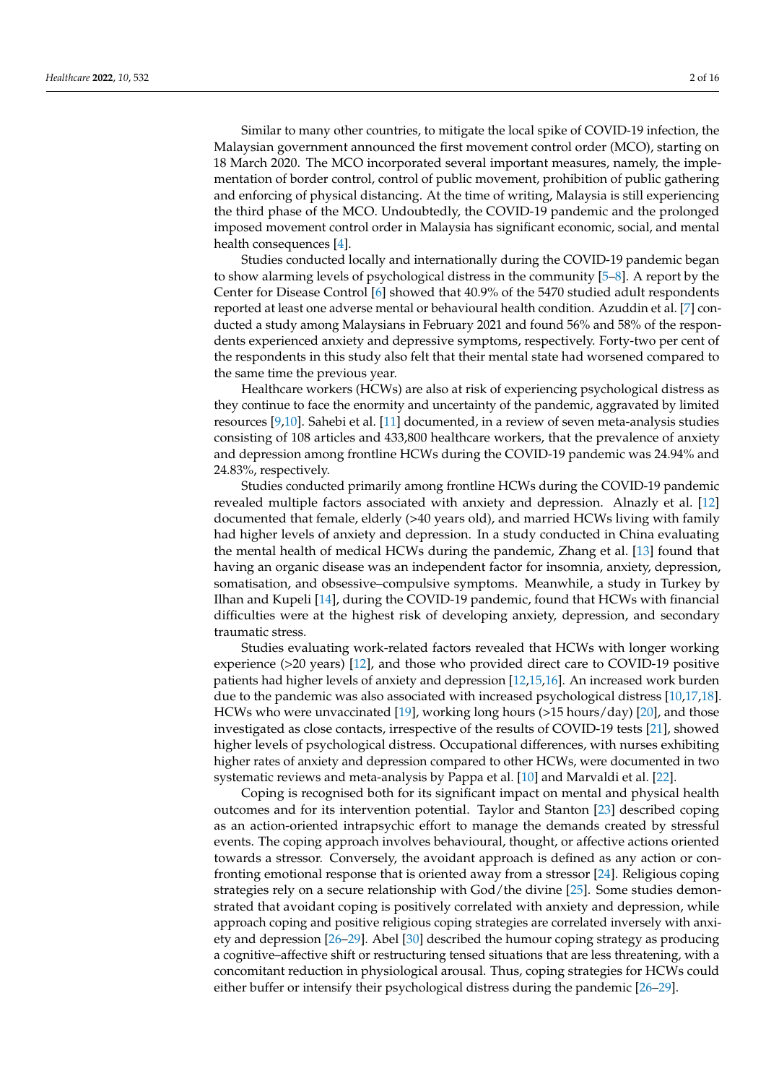Similar to many other countries, to mitigate the local spike of COVID-19 infection, the Malaysian government announced the first movement control order (MCO), starting on 18 March 2020. The MCO incorporated several important measures, namely, the implementation of border control, control of public movement, prohibition of public gathering and enforcing of physical distancing. At the time of writing, Malaysia is still experiencing the third phase of the MCO. Undoubtedly, the COVID-19 pandemic and the prolonged imposed movement control order in Malaysia has significant economic, social, and mental health consequences [\[4\]](#page-13-3).

Studies conducted locally and internationally during the COVID-19 pandemic began to show alarming levels of psychological distress in the community [\[5](#page-13-4)[–8\]](#page-13-5). A report by the Center for Disease Control [\[6\]](#page-13-6) showed that 40.9% of the 5470 studied adult respondents reported at least one adverse mental or behavioural health condition. Azuddin et al. [\[7\]](#page-13-7) conducted a study among Malaysians in February 2021 and found 56% and 58% of the respondents experienced anxiety and depressive symptoms, respectively. Forty-two per cent of the respondents in this study also felt that their mental state had worsened compared to the same time the previous year.

Healthcare workers (HCWs) are also at risk of experiencing psychological distress as they continue to face the enormity and uncertainty of the pandemic, aggravated by limited resources [\[9,](#page-13-8)[10\]](#page-13-9). Sahebi et al. [\[11\]](#page-13-10) documented, in a review of seven meta-analysis studies consisting of 108 articles and 433,800 healthcare workers, that the prevalence of anxiety and depression among frontline HCWs during the COVID-19 pandemic was 24.94% and 24.83%, respectively.

Studies conducted primarily among frontline HCWs during the COVID-19 pandemic revealed multiple factors associated with anxiety and depression. Alnazly et al. [\[12\]](#page-13-11) documented that female, elderly (>40 years old), and married HCWs living with family had higher levels of anxiety and depression. In a study conducted in China evaluating the mental health of medical HCWs during the pandemic, Zhang et al. [\[13\]](#page-13-12) found that having an organic disease was an independent factor for insomnia, anxiety, depression, somatisation, and obsessive–compulsive symptoms. Meanwhile, a study in Turkey by Ilhan and Kupeli [\[14\]](#page-13-13), during the COVID-19 pandemic, found that HCWs with financial difficulties were at the highest risk of developing anxiety, depression, and secondary traumatic stress.

Studies evaluating work-related factors revealed that HCWs with longer working experience (>20 years) [\[12\]](#page-13-11), and those who provided direct care to COVID-19 positive patients had higher levels of anxiety and depression [\[12](#page-13-11)[,15](#page-13-14)[,16\]](#page-13-15). An increased work burden due to the pandemic was also associated with increased psychological distress [\[10,](#page-13-9)[17,](#page-13-16)[18\]](#page-13-17). HCWs who were unvaccinated [\[19\]](#page-13-18), working long hours (>15 hours/day) [\[20\]](#page-13-19), and those investigated as close contacts, irrespective of the results of COVID-19 tests [\[21\]](#page-14-0), showed higher levels of psychological distress. Occupational differences, with nurses exhibiting higher rates of anxiety and depression compared to other HCWs, were documented in two systematic reviews and meta-analysis by Pappa et al. [\[10\]](#page-13-9) and Marvaldi et al. [\[22\]](#page-14-1).

Coping is recognised both for its significant impact on mental and physical health outcomes and for its intervention potential. Taylor and Stanton [\[23\]](#page-14-2) described coping as an action-oriented intrapsychic effort to manage the demands created by stressful events. The coping approach involves behavioural, thought, or affective actions oriented towards a stressor. Conversely, the avoidant approach is defined as any action or confronting emotional response that is oriented away from a stressor [\[24\]](#page-14-3). Religious coping strategies rely on a secure relationship with God/the divine [\[25\]](#page-14-4). Some studies demonstrated that avoidant coping is positively correlated with anxiety and depression, while approach coping and positive religious coping strategies are correlated inversely with anxiety and depression [\[26](#page-14-5)[–29\]](#page-14-6). Abel [\[30\]](#page-14-7) described the humour coping strategy as producing a cognitive–affective shift or restructuring tensed situations that are less threatening, with a concomitant reduction in physiological arousal. Thus, coping strategies for HCWs could either buffer or intensify their psychological distress during the pandemic [\[26–](#page-14-5)[29\]](#page-14-6).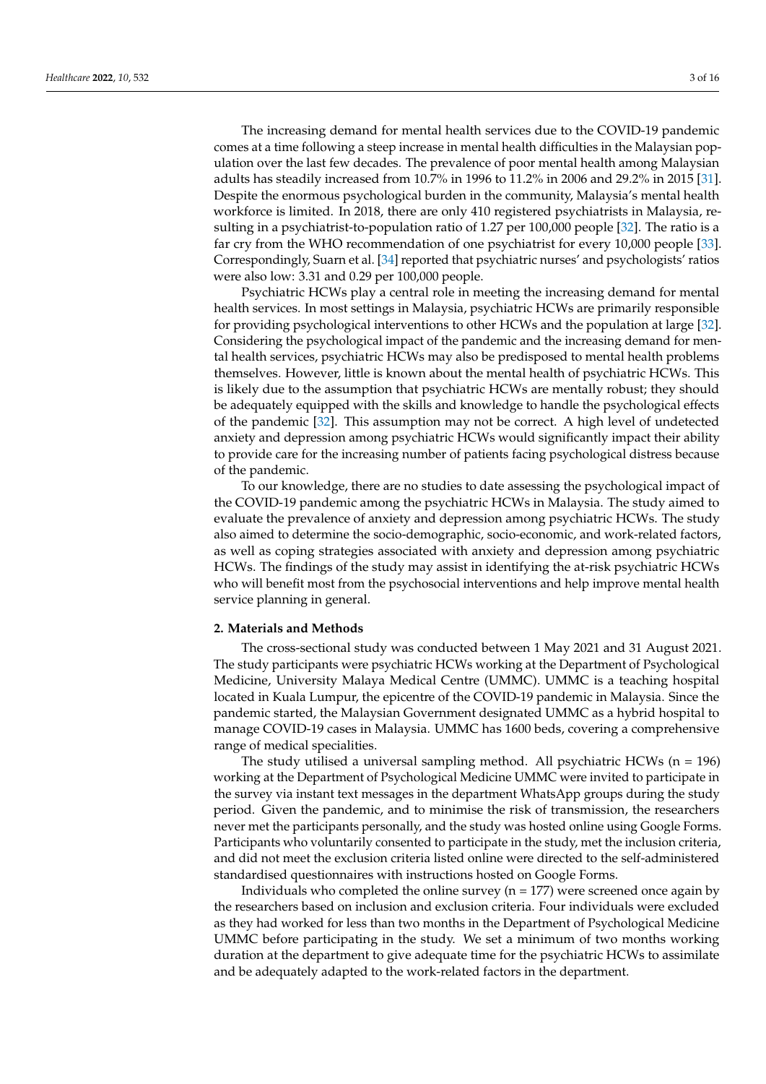The increasing demand for mental health services due to the COVID-19 pandemic comes at a time following a steep increase in mental health difficulties in the Malaysian population over the last few decades. The prevalence of poor mental health among Malaysian adults has steadily increased from 10.7% in 1996 to 11.2% in 2006 and 29.2% in 2015 [\[31\]](#page-14-8). Despite the enormous psychological burden in the community, Malaysia's mental health workforce is limited. In 2018, there are only 410 registered psychiatrists in Malaysia, resulting in a psychiatrist-to-population ratio of 1.27 per 100,000 people [\[32\]](#page-14-9). The ratio is a far cry from the WHO recommendation of one psychiatrist for every 10,000 people [\[33\]](#page-14-10). Correspondingly, Suarn et al. [\[34\]](#page-14-11) reported that psychiatric nurses' and psychologists' ratios were also low: 3.31 and 0.29 per 100,000 people.

Psychiatric HCWs play a central role in meeting the increasing demand for mental health services. In most settings in Malaysia, psychiatric HCWs are primarily responsible for providing psychological interventions to other HCWs and the population at large [\[32\]](#page-14-9). Considering the psychological impact of the pandemic and the increasing demand for mental health services, psychiatric HCWs may also be predisposed to mental health problems themselves. However, little is known about the mental health of psychiatric HCWs. This is likely due to the assumption that psychiatric HCWs are mentally robust; they should be adequately equipped with the skills and knowledge to handle the psychological effects of the pandemic [\[32\]](#page-14-9). This assumption may not be correct. A high level of undetected anxiety and depression among psychiatric HCWs would significantly impact their ability to provide care for the increasing number of patients facing psychological distress because of the pandemic.

To our knowledge, there are no studies to date assessing the psychological impact of the COVID-19 pandemic among the psychiatric HCWs in Malaysia. The study aimed to evaluate the prevalence of anxiety and depression among psychiatric HCWs. The study also aimed to determine the socio-demographic, socio-economic, and work-related factors, as well as coping strategies associated with anxiety and depression among psychiatric HCWs. The findings of the study may assist in identifying the at-risk psychiatric HCWs who will benefit most from the psychosocial interventions and help improve mental health service planning in general.

## **2. Materials and Methods**

The cross-sectional study was conducted between 1 May 2021 and 31 August 2021. The study participants were psychiatric HCWs working at the Department of Psychological Medicine, University Malaya Medical Centre (UMMC). UMMC is a teaching hospital located in Kuala Lumpur, the epicentre of the COVID-19 pandemic in Malaysia. Since the pandemic started, the Malaysian Government designated UMMC as a hybrid hospital to manage COVID-19 cases in Malaysia. UMMC has 1600 beds, covering a comprehensive range of medical specialities.

The study utilised a universal sampling method. All psychiatric HCWs  $(n = 196)$ working at the Department of Psychological Medicine UMMC were invited to participate in the survey via instant text messages in the department WhatsApp groups during the study period. Given the pandemic, and to minimise the risk of transmission, the researchers never met the participants personally, and the study was hosted online using Google Forms. Participants who voluntarily consented to participate in the study, met the inclusion criteria, and did not meet the exclusion criteria listed online were directed to the self-administered standardised questionnaires with instructions hosted on Google Forms.

Individuals who completed the online survey  $(n = 177)$  were screened once again by the researchers based on inclusion and exclusion criteria. Four individuals were excluded as they had worked for less than two months in the Department of Psychological Medicine UMMC before participating in the study. We set a minimum of two months working duration at the department to give adequate time for the psychiatric HCWs to assimilate and be adequately adapted to the work-related factors in the department.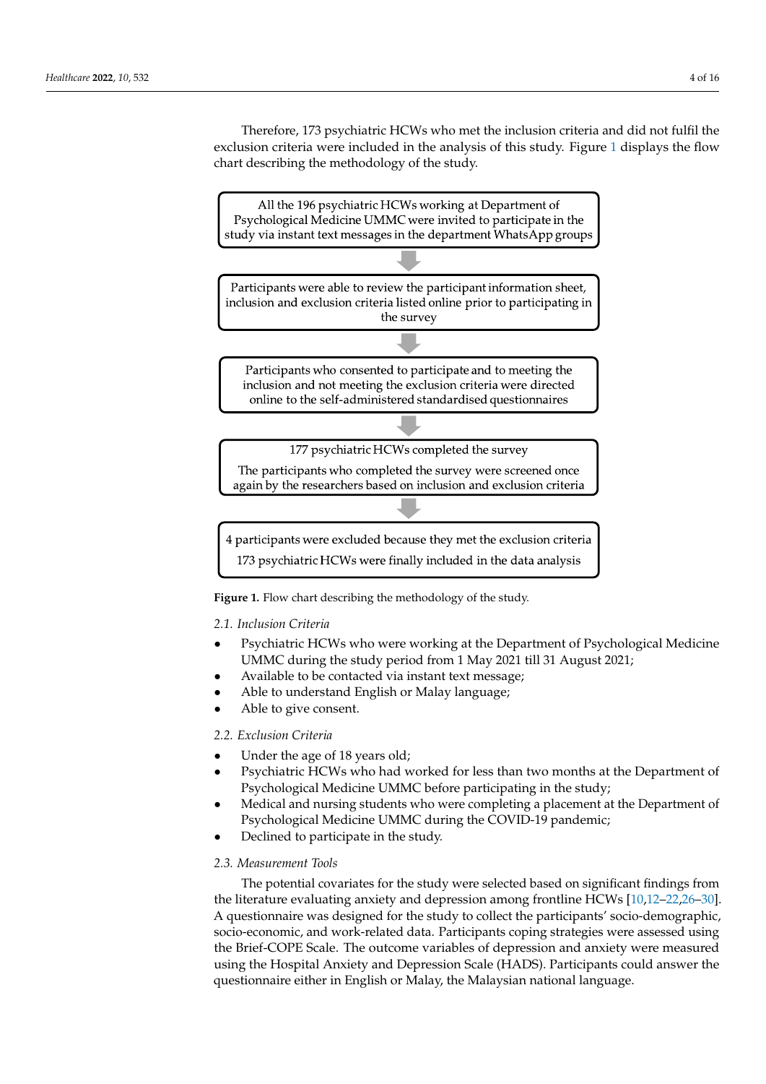Therefore, 173 psychiatric HCWs who met the inclusion criteria and did not fulfil the exclusion criteria were included in the analysis of this study. Figure [1](#page-3-0) displays the flow chart describing the methodology of the study.

<span id="page-3-0"></span>

**Figure 1.** Flow chart describing the methodology of the study.

# *2.1. Inclusion Criteria*

- Psychiatric HCWs who were working at the Department of Psychological Medicine UMMC during the study period from 1 May 2021 till 31 August 2021;
- Available to be contacted via instant text message;
- Able to understand English or Malay language;
- Able to give consent.

# *2.2. Exclusion Criteria*

- Under the age of 18 years old;
- Psychiatric HCWs who had worked for less than two months at the Department of Psychological Medicine UMMC before participating in the study;
- Medical and nursing students who were completing a placement at the Department of Psychological Medicine UMMC during the COVID-19 pandemic;
- Declined to participate in the study.

# *2.3. Measurement Tools*

The potential covariates for the study were selected based on significant findings from the literature evaluating anxiety and depression among frontline HCWs [\[10](#page-13-9)[,12–](#page-13-11)[22,](#page-14-1)[26](#page-14-5)[–30\]](#page-14-7). A questionnaire was designed for the study to collect the participants' socio-demographic, socio-economic, and work-related data. Participants coping strategies were assessed using the Brief-COPE Scale. The outcome variables of depression and anxiety were measured using the Hospital Anxiety and Depression Scale (HADS). Participants could answer the questionnaire either in English or Malay, the Malaysian national language.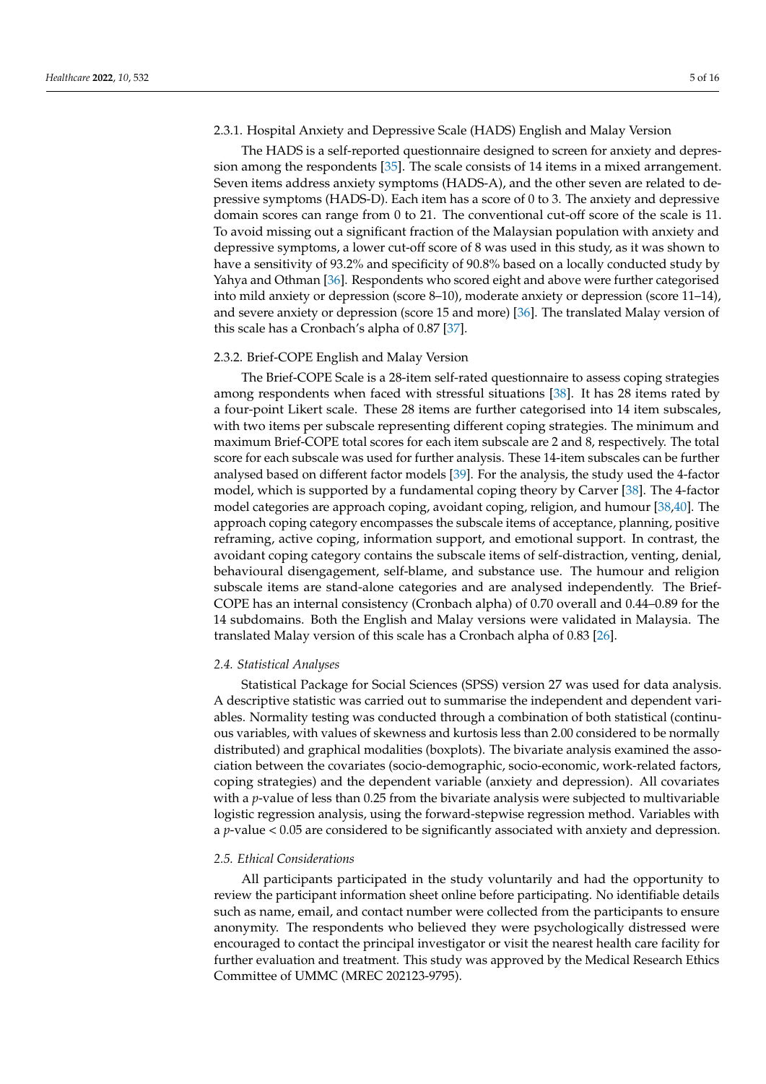### 2.3.1. Hospital Anxiety and Depressive Scale (HADS) English and Malay Version

The HADS is a self-reported questionnaire designed to screen for anxiety and depression among the respondents [\[35\]](#page-14-12). The scale consists of 14 items in a mixed arrangement. Seven items address anxiety symptoms (HADS-A), and the other seven are related to depressive symptoms (HADS-D). Each item has a score of 0 to 3. The anxiety and depressive domain scores can range from 0 to 21. The conventional cut-off score of the scale is 11. To avoid missing out a significant fraction of the Malaysian population with anxiety and depressive symptoms, a lower cut-off score of 8 was used in this study, as it was shown to have a sensitivity of 93.2% and specificity of 90.8% based on a locally conducted study by Yahya and Othman [\[36\]](#page-14-13). Respondents who scored eight and above were further categorised into mild anxiety or depression (score 8–10), moderate anxiety or depression (score 11–14), and severe anxiety or depression (score 15 and more) [\[36\]](#page-14-13). The translated Malay version of this scale has a Cronbach's alpha of 0.87 [\[37\]](#page-14-14).

## 2.3.2. Brief-COPE English and Malay Version

The Brief-COPE Scale is a 28-item self-rated questionnaire to assess coping strategies among respondents when faced with stressful situations [\[38\]](#page-14-15). It has 28 items rated by a four-point Likert scale. These 28 items are further categorised into 14 item subscales, with two items per subscale representing different coping strategies. The minimum and maximum Brief-COPE total scores for each item subscale are 2 and 8, respectively. The total score for each subscale was used for further analysis. These 14-item subscales can be further analysed based on different factor models [\[39\]](#page-14-16). For the analysis, the study used the 4-factor model, which is supported by a fundamental coping theory by Carver [\[38\]](#page-14-15). The 4-factor model categories are approach coping, avoidant coping, religion, and humour [\[38,](#page-14-15)[40\]](#page-14-17). The approach coping category encompasses the subscale items of acceptance, planning, positive reframing, active coping, information support, and emotional support. In contrast, the avoidant coping category contains the subscale items of self-distraction, venting, denial, behavioural disengagement, self-blame, and substance use. The humour and religion subscale items are stand-alone categories and are analysed independently. The Brief-COPE has an internal consistency (Cronbach alpha) of 0.70 overall and 0.44–0.89 for the 14 subdomains. Both the English and Malay versions were validated in Malaysia. The translated Malay version of this scale has a Cronbach alpha of 0.83 [\[26\]](#page-14-5).

#### *2.4. Statistical Analyses*

Statistical Package for Social Sciences (SPSS) version 27 was used for data analysis. A descriptive statistic was carried out to summarise the independent and dependent variables. Normality testing was conducted through a combination of both statistical (continuous variables, with values of skewness and kurtosis less than 2.00 considered to be normally distributed) and graphical modalities (boxplots). The bivariate analysis examined the association between the covariates (socio-demographic, socio-economic, work-related factors, coping strategies) and the dependent variable (anxiety and depression). All covariates with a *p*-value of less than 0.25 from the bivariate analysis were subjected to multivariable logistic regression analysis, using the forward-stepwise regression method. Variables with a *p*-value < 0.05 are considered to be significantly associated with anxiety and depression.

#### *2.5. Ethical Considerations*

All participants participated in the study voluntarily and had the opportunity to review the participant information sheet online before participating. No identifiable details such as name, email, and contact number were collected from the participants to ensure anonymity. The respondents who believed they were psychologically distressed were encouraged to contact the principal investigator or visit the nearest health care facility for further evaluation and treatment. This study was approved by the Medical Research Ethics Committee of UMMC (MREC 202123-9795).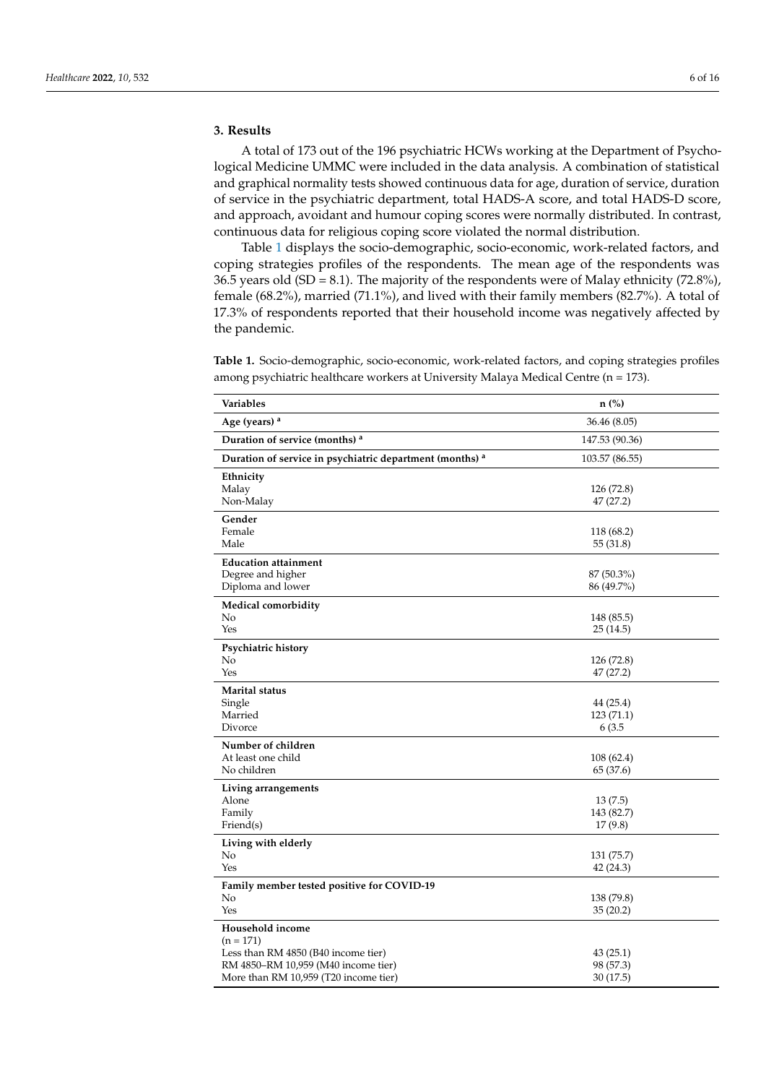A total of 173 out of the 196 psychiatric HCWs working at the Department of Psychological Medicine UMMC were included in the data analysis. A combination of statistical and graphical normality tests showed continuous data for age, duration of service, duration of service in the psychiatric department, total HADS-A score, and total HADS-D score, and approach, avoidant and humour coping scores were normally distributed. In contrast, continuous data for religious coping score violated the normal distribution.

Table [1](#page-5-0) displays the socio-demographic, socio-economic, work-related factors, and coping strategies profiles of the respondents. The mean age of the respondents was 36.5 years old (SD = 8.1). The majority of the respondents were of Malay ethnicity (72.8%), female (68.2%), married (71.1%), and lived with their family members (82.7%). A total of 17.3% of respondents reported that their household income was negatively affected by the pandemic.

<span id="page-5-0"></span>**Table 1.** Socio-demographic, socio-economic, work-related factors, and coping strategies profiles among psychiatric healthcare workers at University Malaya Medical Centre (n = 173).

| Variables                                                | n (%)                    |
|----------------------------------------------------------|--------------------------|
| Age (years) <sup>a</sup>                                 | 36.46 (8.05)             |
| Duration of service (months) a                           | 147.53 (90.36)           |
| Duration of service in psychiatric department (months) a | 103.57 (86.55)           |
| Ethnicity                                                |                          |
| Malay<br>Non-Malay                                       | 126 (72.8)<br>47 (27.2)  |
| Gender                                                   |                          |
| Female                                                   | 118 (68.2)               |
| Male                                                     | 55 (31.8)                |
| <b>Education attainment</b>                              |                          |
| Degree and higher<br>Diploma and lower                   | 87 (50.3%)<br>86 (49.7%) |
|                                                          |                          |
| <b>Medical comorbidity</b><br>No                         | 148 (85.5)               |
| Yes                                                      | 25(14.5)                 |
| Psychiatric history                                      |                          |
| No                                                       | 126 (72.8)               |
| Yes                                                      | 47 (27.2)                |
| <b>Marital status</b>                                    |                          |
| Single<br>Married                                        | 44 (25.4)<br>123 (71.1)  |
| Divorce                                                  | 6 (3.5                   |
| Number of children                                       |                          |
| At least one child                                       | 108(62.4)                |
| No children                                              | 65 (37.6)                |
| Living arrangements                                      |                          |
| Alone                                                    | 13(7.5)                  |
| Family<br>Friend(s)                                      | 143 (82.7)<br>17(9.8)    |
| Living with elderly                                      |                          |
| No                                                       | 131 (75.7)               |
| Yes                                                      | 42 (24.3)                |
| Family member tested positive for COVID-19               |                          |
| No                                                       | 138 (79.8)               |
| Yes                                                      | 35(20.2)                 |
| Household income                                         |                          |
| $(n = 171)$<br>Less than RM 4850 (B40 income tier)       | 43(25.1)                 |
| RM 4850–RM 10,959 (M40 income tier)                      | 98 (57.3)                |
| More than RM 10,959 (T20 income tier)                    | 30(17.5)                 |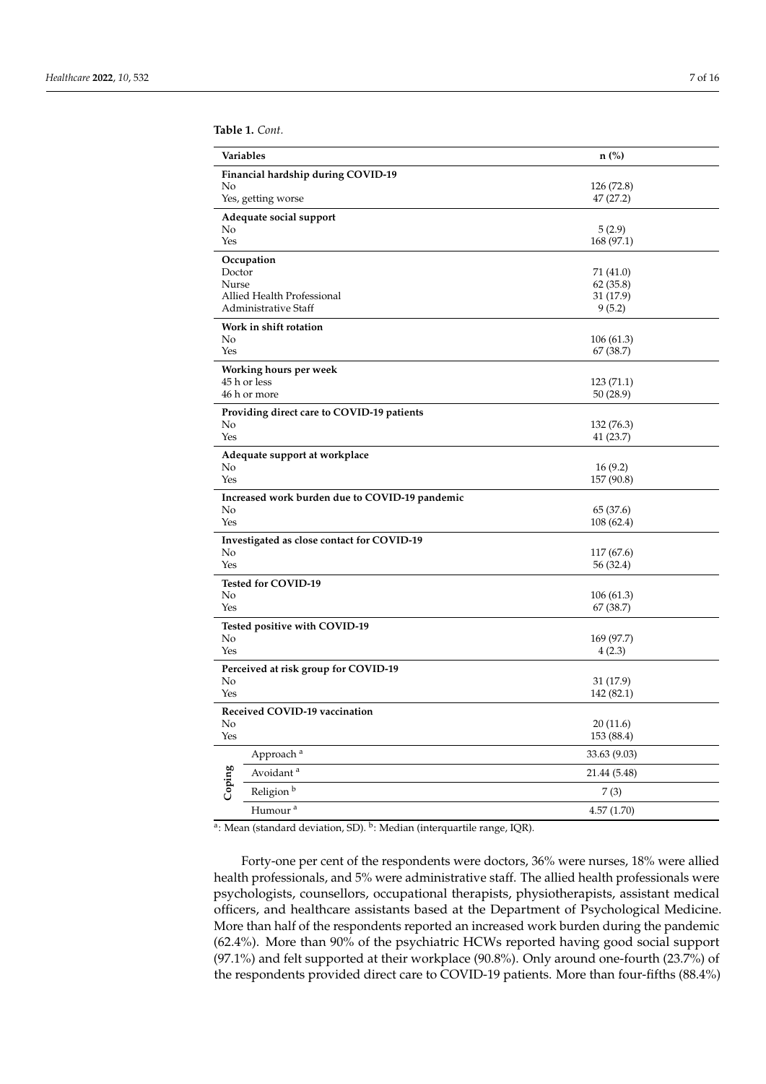**Table 1.** *Cont.*

| Variables       |                                                | $n$ (%)                |
|-----------------|------------------------------------------------|------------------------|
|                 | Financial hardship during COVID-19             |                        |
| No              | Yes, getting worse                             | 126 (72.8)<br>47(27.2) |
|                 | Adequate social support                        |                        |
| No              |                                                | 5(2.9)                 |
| Yes             |                                                | 168 (97.1)             |
|                 | Occupation                                     |                        |
| Doctor<br>Nurse |                                                | 71 (41.0)<br>62(35.8)  |
|                 | Allied Health Professional                     | 31 (17.9)              |
|                 | Administrative Staff                           | 9(5.2)                 |
|                 | Work in shift rotation                         |                        |
| No<br>Yes       |                                                | 106(61.3)              |
|                 |                                                | 67 (38.7)              |
|                 | Working hours per week<br>45 h or less         | 123(71.1)              |
|                 | 46 h or more                                   | 50 (28.9)              |
|                 | Providing direct care to COVID-19 patients     |                        |
| No              |                                                | 132 (76.3)             |
| Yes             |                                                | 41 (23.7)              |
|                 | Adequate support at workplace                  |                        |
| No<br>Yes       |                                                | 16(9.2)<br>157 (90.8)  |
|                 | Increased work burden due to COVID-19 pandemic |                        |
| No              |                                                | 65 (37.6)              |
| Yes             |                                                | 108 (62.4)             |
|                 | Investigated as close contact for COVID-19     |                        |
| No              |                                                | 117 (67.6)             |
| Yes             |                                                | 56 (32.4)              |
| No              | Tested for COVID-19                            | 106(61.3)              |
| Yes             |                                                | 67 (38.7)              |
|                 | Tested positive with COVID-19                  |                        |
| No              |                                                | 169 (97.7)             |
| Yes             |                                                | 4(2.3)                 |
|                 | Perceived at risk group for COVID-19           |                        |
| No              |                                                | 31 (17.9)              |
| Yes             |                                                | 142 (82.1)             |
|                 | Received COVID-19 vaccination                  | 20(11.6)               |
| ΝO<br>Yes       |                                                | 153 (88.4)             |
|                 | Approach <sup>a</sup>                          | 33.63 (9.03)           |
|                 | Avoidant $^{\rm a}$                            | 21.44 (5.48)           |
| Coping          | Religion $^{\rm b}$                            | 7(3)                   |
|                 | Humour <sup>a</sup>                            | 4.57(1.70)             |

<sup>a</sup>: Mean (standard deviation, SD). <sup>b</sup>: Median (interquartile range, IQR).

Forty-one per cent of the respondents were doctors, 36% were nurses, 18% were allied health professionals, and 5% were administrative staff. The allied health professionals were psychologists, counsellors, occupational therapists, physiotherapists, assistant medical officers, and healthcare assistants based at the Department of Psychological Medicine. More than half of the respondents reported an increased work burden during the pandemic (62.4%). More than 90% of the psychiatric HCWs reported having good social support (97.1%) and felt supported at their workplace (90.8%). Only around one-fourth (23.7%) of the respondents provided direct care to COVID-19 patients. More than four-fifths (88.4%)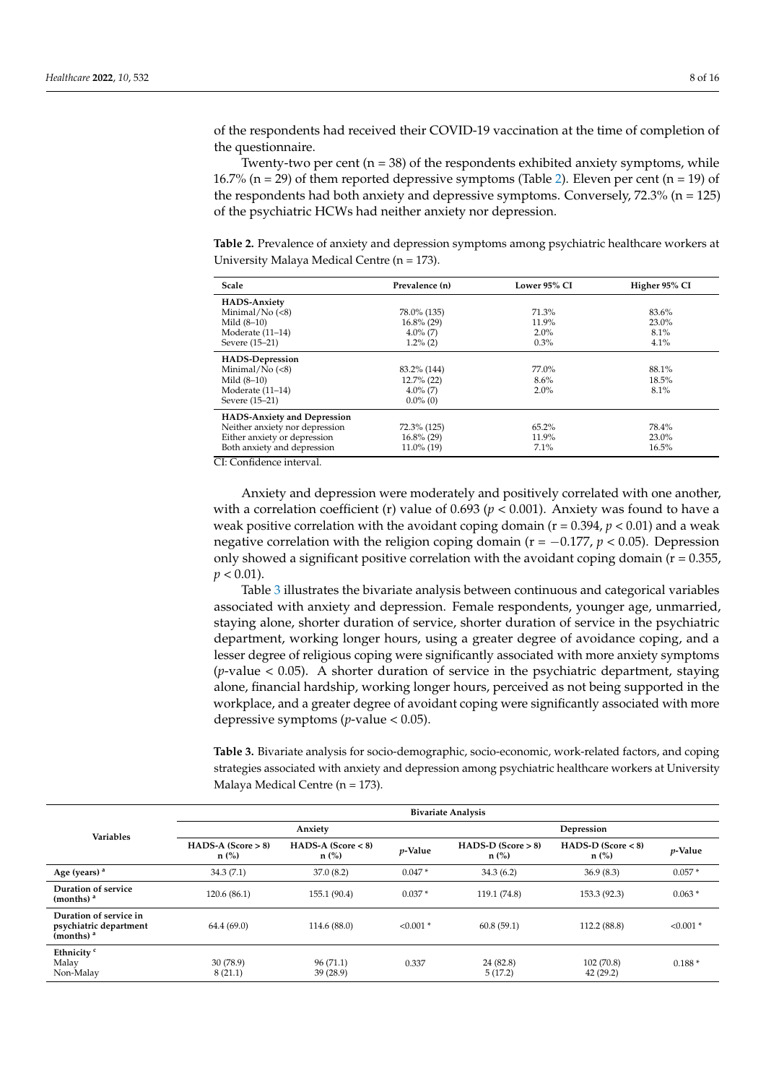of the respondents had received their COVID-19 vaccination at the time of completion of the questionnaire.

Twenty-two per cent  $(n = 38)$  of the respondents exhibited anxiety symptoms, while 16.7% (n = 29) of them reported depressive symptoms (Table [2\)](#page-7-0). Eleven per cent (n = 19) of the respondents had both anxiety and depressive symptoms. Conversely, 72.3% (n = 125) of the psychiatric HCWs had neither anxiety nor depression.

<span id="page-7-0"></span>**Table 2.** Prevalence of anxiety and depression symptoms among psychiatric healthcare workers at University Malaya Medical Centre (n = 173).

| Scale                              | Prevalence (n) | Lower 95% CI | Higher 95% CI |
|------------------------------------|----------------|--------------|---------------|
| <b>HADS-Anxiety</b>                |                |              |               |
| Minimal/ $No (< 8)$                | 78.0% (135)    | 71.3%        | 83.6%         |
| Mild $(8-10)$                      | $16.8\%$ (29)  | 11.9%        | 23.0%         |
| Moderate (11–14)                   | $4.0\%$ (7)    | $2.0\%$      | 8.1%          |
| Severe (15-21)                     | $1.2\%$ (2)    | 0.3%         | 4.1%          |
| <b>HADS-Depression</b>             |                |              |               |
| Minimal/ $No$ (<8)                 | 83.2% (144)    | 77.0%        | 88.1%         |
| Mild $(8-10)$                      | $12.7\%$ (22)  | 8.6%         | 18.5%         |
| Moderate (11-14)                   | $4.0\%$ (7)    | $2.0\%$      | 8.1%          |
| Severe (15-21)                     | $0.0\%$ (0)    |              |               |
| <b>HADS-Anxiety and Depression</b> |                |              |               |
| Neither anxiety nor depression     | 72.3% (125)    | 65.2%        | 78.4%         |
| Either anxiety or depression       | $16.8\%$ (29)  | 11.9%        | 23.0%         |
| Both anxiety and depression        | $11.0\%$ (19)  | 7.1%         | 16.5%         |

CI: Confidence interval.

Anxiety and depression were moderately and positively correlated with one another, with a correlation coefficient (r) value of  $0.693$  ( $p < 0.001$ ). Anxiety was found to have a weak positive correlation with the avoidant coping domain (r = 0.394, *p* < 0.01) and a weak negative correlation with the religion coping domain ( $r = -0.177$ ,  $p < 0.05$ ). Depression only showed a significant positive correlation with the avoidant coping domain ( $r = 0.355$ ,  $p < 0.01$ ).

Table [3](#page-7-1) illustrates the bivariate analysis between continuous and categorical variables associated with anxiety and depression. Female respondents, younger age, unmarried, staying alone, shorter duration of service, shorter duration of service in the psychiatric department, working longer hours, using a greater degree of avoidance coping, and a lesser degree of religious coping were significantly associated with more anxiety symptoms (*p*-value < 0.05). A shorter duration of service in the psychiatric department, staying alone, financial hardship, working longer hours, perceived as not being supported in the workplace, and a greater degree of avoidant coping were significantly associated with more depressive symptoms (*p*-value < 0.05).

<span id="page-7-1"></span>**Table 3.** Bivariate analysis for socio-demographic, socio-economic, work-related factors, and coping strategies associated with anxiety and depression among psychiatric healthcare workers at University Malaya Medical Centre (n = 173).

|                                                                  | <b>Bivariate Analysis</b>       |                                 |             |                                 |                                 |             |
|------------------------------------------------------------------|---------------------------------|---------------------------------|-------------|---------------------------------|---------------------------------|-------------|
| <b>Variables</b>                                                 | Anxiety                         |                                 |             | Depression                      |                                 |             |
|                                                                  | $HADS-A (Score > 8)$<br>$n$ (%) | $HADS-A (Score < 8)$<br>$n$ (%) | $p$ -Value  | $HADS-D (Score > 8)$<br>$n$ (%) | $HADS-D (Score < 8)$<br>$n$ (%) | $p$ -Value  |
| Age (years) <sup>a</sup>                                         | 34.3(7.1)                       | 37.0(8.2)                       | $0.047*$    | 34.3(6.2)                       | 36.9(8.3)                       | $0.057*$    |
| Duration of service<br>(months) $a$                              | 120.6(86.1)                     | 155.1 (90.4)                    | $0.037*$    | 119.1 (74.8)                    | 153.3 (92.3)                    | $0.063*$    |
| Duration of service in<br>psychiatric department<br>(months) $a$ | 64.4(69.0)                      | 114.6 (88.0)                    | $< 0.001$ * | 60.8(59.1)                      | 112.2 (88.8)                    | $< 0.001$ * |
| Ethnicity <sup>c</sup><br>Malay<br>Non-Malay                     | 30(78.9)<br>8(21.1)             | 96(71.1)<br>39(28.9)            | 0.337       | 24 (82.8)<br>5(17.2)            | 102(70.8)<br>42 (29.2)          | $0.188*$    |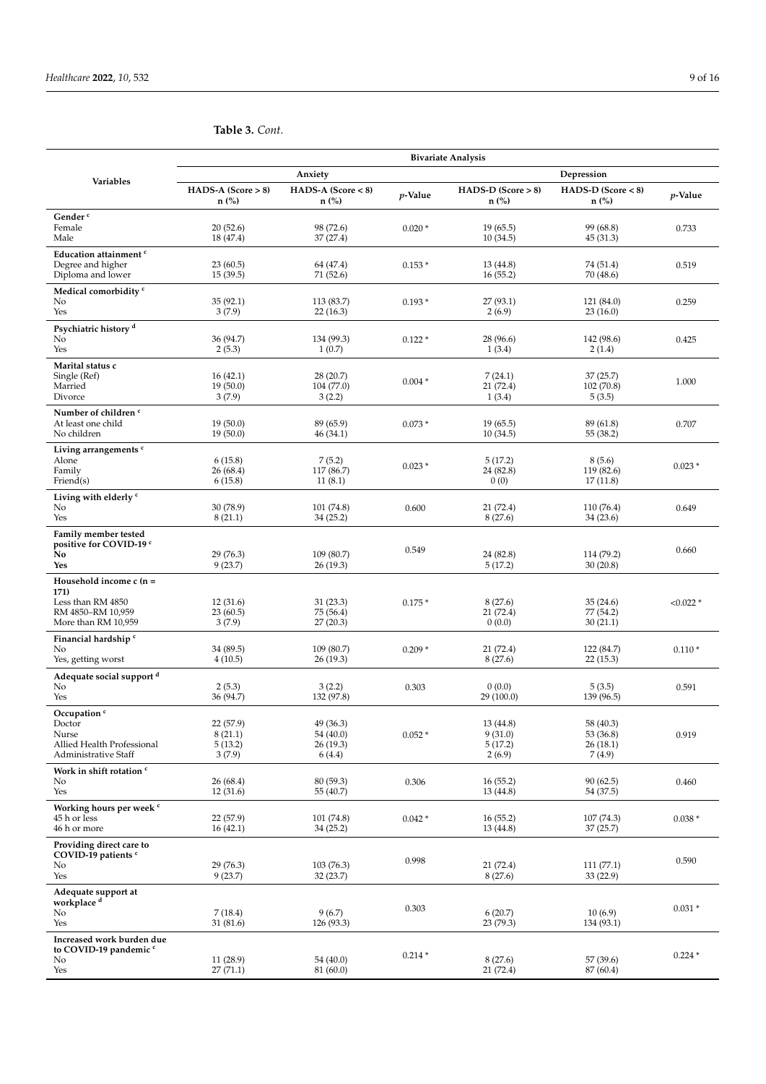|                                                                                                   | <b>Bivariate Analysis</b>                 |                                               |            |                                           |                                              |             |
|---------------------------------------------------------------------------------------------------|-------------------------------------------|-----------------------------------------------|------------|-------------------------------------------|----------------------------------------------|-------------|
|                                                                                                   |                                           | Anxiety                                       |            |                                           | Depression                                   |             |
| Variables                                                                                         | $HADS-A (Score > 8)$<br>$n$ (%)           | $HADS-A (Score < 8)$<br>$n$ (%)               | $p$ -Value | $HADS-D (Score > 8)$<br>$n$ (%)           | $HADS-D$ (Score $< 8$ )<br>$n$ (%)           | p-Value     |
| Gender <sup>c</sup><br>Female<br>Male                                                             | 20(52.6)<br>18 (47.4)                     | 98 (72.6)<br>37 (27.4)                        | $0.020*$   | 19(65.5)<br>10(34.5)                      | 99 (68.8)<br>45 (31.3)                       | 0.733       |
| Education attainment c<br>Degree and higher<br>Diploma and lower                                  | 23(60.5)<br>15(39.5)                      | 64 (47.4)<br>71 (52.6)                        | $0.153*$   | 13(44.8)<br>16(55.2)                      | 74 (51.4)<br>70 (48.6)                       | 0.519       |
| Medical comorbidity <sup>c</sup><br>No<br>Yes                                                     | 35 (92.1)<br>3(7.9)                       | 113 (83.7)<br>22(16.3)                        | $0.193*$   | 27(93.1)<br>2(6.9)                        | 121 (84.0)<br>23(16.0)                       | 0.259       |
| Psychiatric history <sup>d</sup><br>No<br>Yes                                                     | 36 (94.7)<br>2(5.3)                       | 134 (99.3)<br>1(0.7)                          | $0.122*$   | 28 (96.6)<br>1(3.4)                       | 142 (98.6)<br>2(1.4)                         | 0.425       |
| Marital status c<br>Single (Ref)<br>Married<br>Divorce                                            | 16(42.1)<br>19 (50.0)<br>3(7.9)           | 28 (20.7)<br>104 (77.0)<br>3(2.2)             | $0.004*$   | 7(24.1)<br>21(72.4)<br>1(3.4)             | 37(25.7)<br>102 (70.8)<br>5(3.5)             | 1.000       |
| Number of children <sup>c</sup><br>At least one child<br>No children                              | 19 (50.0)<br>19(50.0)                     | 89 (65.9)<br>46 (34.1)                        | $0.073*$   | 19(65.5)<br>10(34.5)                      | 89 (61.8)<br>55 (38.2)                       | 0.707       |
| Living arrangements <sup>c</sup><br>Alone<br>Family<br>Friend(s)                                  | 6(15.8)<br>26 (68.4)<br>6(15.8)           | 7(5.2)<br>117(86.7)<br>11(8.1)                | $0.023*$   | 5(17.2)<br>24 (82.8)<br>0(0)              | 8(5.6)<br>119 (82.6)<br>17(11.8)             | $0.023*$    |
| Living with elderly c<br>No<br>Yes                                                                | 30 (78.9)<br>8(21.1)                      | 101 (74.8)<br>34 (25.2)                       | 0.600      | 21(72.4)<br>8(27.6)                       | 110 (76.4)<br>34 (23.6)                      | 0.649       |
| Family member tested<br>positive for COVID-19 c<br>No<br>Yes                                      | 29 (76.3)<br>9(23.7)                      | 109 (80.7)<br>26 (19.3)                       | 0.549      | 24 (82.8)<br>5(17.2)                      | 114 (79.2)<br>30(20.8)                       | 0.660       |
| Household income $c(n =$<br>171)<br>Less than RM 4850<br>RM 4850-RM 10,959<br>More than RM 10,959 | 12(31.6)<br>23 (60.5)<br>3(7.9)           | 31(23.3)<br>75 (56.4)<br>27(20.3)             | $0.175*$   | 8(27.6)<br>21(72.4)<br>0(0.0)             | 35(24.6)<br>77 (54.2)<br>30(21.1)            | $< 0.022$ * |
| Financial hardship <sup>c</sup><br>No<br>Yes, getting worst                                       | 34 (89.5)<br>4(10.5)                      | 109(80.7)<br>26 (19.3)                        | $0.209*$   | 21(72.4)<br>8(27.6)                       | 122 (84.7)<br>22(15.3)                       | $0.110*$    |
| Adequate social support <sup>d</sup><br>No<br>Yes                                                 | 2(5.3)<br>36 (94.7)                       | 3(2.2)<br>132 (97.8)                          | 0.303      | 0(0.0)<br>29 (100.0)                      | 5(3.5)<br>139 (96.5)                         | 0.591       |
| Occupation <sup>c</sup><br>Doctor<br>Nurse<br>Allied Health Professional<br>Administrative Staff  | 22 (57.9)<br>8(21.1)<br>5(13.2)<br>3(7.9) | 49 (36.3)<br>54 (40.0)<br>26 (19.3)<br>6(4.4) | $0.052*$   | 13 (44.8)<br>9(31.0)<br>5(17.2)<br>2(6.9) | 58 (40.3)<br>53 (36.8)<br>26(18.1)<br>7(4.9) | 0.919       |
| Work in shift rotation c<br>No<br>Yes                                                             | 26 (68.4)<br>12(31.6)                     | 80 (59.3)<br>55 (40.7)                        | 0.306      | 16(55.2)<br>13(44.8)                      | 90(62.5)<br>54 (37.5)                        | 0.460       |
| Working hours per week <sup>c</sup><br>45 h or less<br>46 h or more                               | 22 (57.9)<br>16(42.1)                     | 101 (74.8)<br>34(25.2)                        | $0.042*$   | 16(55.2)<br>13 (44.8)                     | 107 (74.3)<br>37(25.7)                       | $0.038*$    |
| Providing direct care to<br>COVID-19 patients c<br>No<br>Yes                                      | 29 (76.3)<br>9(23.7)                      | 103(76.3)<br>32 (23.7)                        | 0.998      | 21(72.4)<br>8(27.6)                       | 111(77.1)<br>33 (22.9)                       | 0.590       |
| Adequate support at<br>workplace <sup>d</sup><br>No<br>Yes                                        | 7(18.4)<br>31 (81.6)                      | 9(6.7)<br>126 (93.3)                          | 0.303      | 6(20.7)<br>23 (79.3)                      | 10(6.9)<br>134 (93.1)                        | $0.031*$    |
| Increased work burden due<br>to COVID-19 pandemic <sup>c</sup><br>No<br>Yes                       | 11 (28.9)<br>27 (71.1)                    | 54 (40.0)<br>81 (60.0)                        | $0.214*$   | 8(27.6)<br>21 (72.4)                      | 57 (39.6)<br>87 (60.4)                       | $0.224*$    |

# **Table 3.** *Cont.*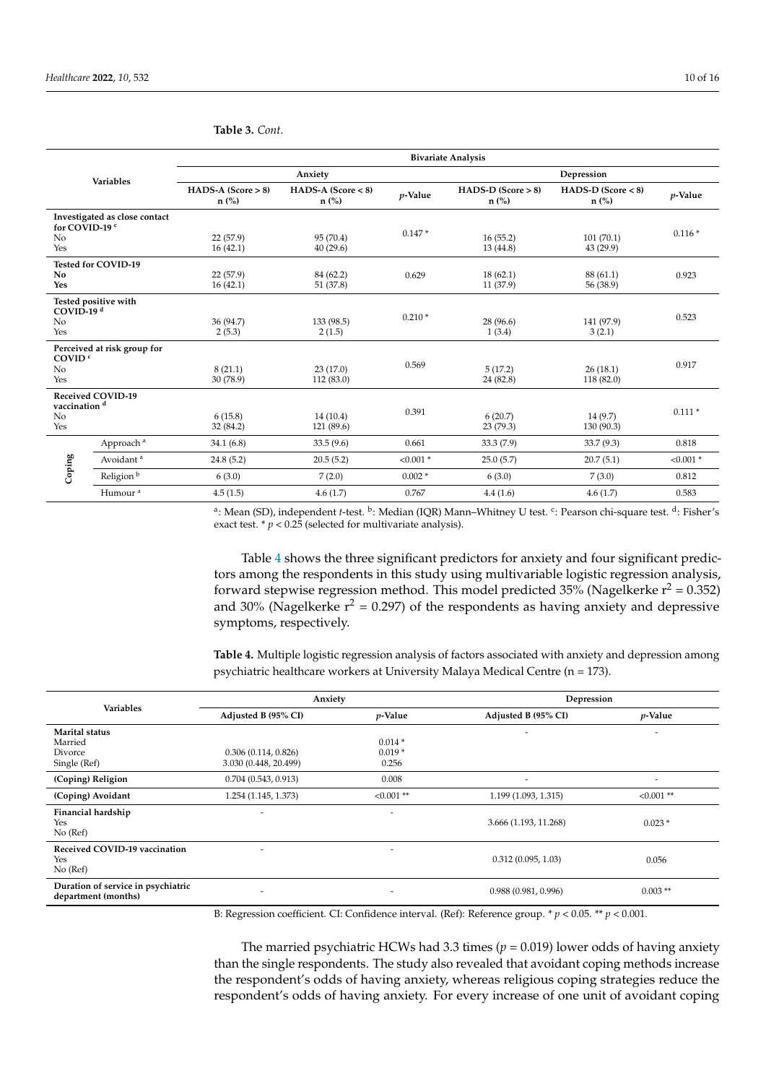|                                                    |                               | <b>Bivariate Analysis</b>       |                                 |             |                                 |                                 |             |
|----------------------------------------------------|-------------------------------|---------------------------------|---------------------------------|-------------|---------------------------------|---------------------------------|-------------|
| Variables                                          |                               | Anxiety                         |                                 |             | Depression                      |                                 |             |
|                                                    |                               | $HADS-A (Score > 8)$<br>$n$ (%) | $HADS-A (Score < 8)$<br>$n$ (%) | $p$ -Value  | $HADS-D (Score > 8)$<br>$n$ (%) | $HADS-D (Score < 8)$<br>$n$ (%) | $p$ -Value  |
| for COVID-19 <sup>c</sup><br>N <sub>o</sub><br>Yes | Investigated as close contact | 22(57.9)<br>16(42.1)            | 95 (70.4)<br>40(29.6)           | $0.147*$    | 16(55.2)<br>13(44.8)            | 101(70.1)<br>43 (29.9)          | $0.116*$    |
| N <sub>o</sub><br>Yes                              | <b>Tested for COVID-19</b>    | 22(57.9)<br>16(42.1)            | 84 (62.2)<br>51 (37.8)          | 0.629       | 18(62.1)<br>11 (37.9)           | 88 (61.1)<br>56 (38.9)          | 0.923       |
| COVID-19 $d$<br>N <sub>o</sub><br>Yes              | Tested positive with          | 36 (94.7)<br>2(5.3)             | 133 (98.5)<br>2(1.5)            | $0.210*$    | 28 (96.6)<br>1(3.4)             | 141 (97.9)<br>3(2.1)            | 0.523       |
| COVID <sup>c</sup><br>No<br>Yes                    | Perceived at risk group for   | 8(21.1)<br>30 (78.9)            | 23(17.0)<br>112(83.0)           | 0.569       | 5(17.2)<br>24 (82.8)            | 26(18.1)<br>118 (82.0)          | 0.917       |
| vaccination <sup>d</sup><br>N <sub>o</sub><br>Yes  | <b>Received COVID-19</b>      | 6(15.8)<br>32 (84.2)            | 14(10.4)<br>121 (89.6)          | 0.391       | 6(20.7)<br>23(79.3)             | 14(9.7)<br>130 (90.3)           | $0.111*$    |
| Coping                                             | Approach <sup>a</sup>         | 34.1(6.8)                       | 33.5(9.6)                       | 0.661       | 33.3 (7.9)                      | 33.7 (9.3)                      | 0.818       |
|                                                    | Avoidant <sup>a</sup>         | 24.8(5.2)                       | 20.5(5.2)                       | $< 0.001$ * | 25.0(5.7)                       | 20.7(5.1)                       | $< 0.001$ * |
|                                                    | Religion <sup>b</sup>         | 6(3.0)                          | 7(2.0)                          | $0.002*$    | 6(3.0)                          | 7(3.0)                          | 0.812       |
|                                                    | Humour <sup>a</sup>           | 4.5(1.5)                        | 4.6(1.7)                        | 0.767       | 4.4(1.6)                        | 4.6(1.7)                        | 0.583       |

**Table 3.** *Cont.*

<sup>a</sup>: Mean (SD), independent *t-*test. <sup>b</sup>: Median (IQR) Mann–Whitney U test. <sup>c</sup>: Pearson chi-square test. <sup>d</sup>: Fisher's exact test.  $* p < 0.25$  (selected for multivariate analysis).

Table [4](#page-9-0) shows the three significant predictors for anxiety and four significant predictors among the respondents in this study using multivariable logistic regression analysis, forward stepwise regression method. This model predicted 35% (Nagelkerke  $r^2 = 0.352$ ) and 30% (Nagelkerke  $r^2$  = 0.297) of the respondents as having anxiety and depressive symptoms, respectively.

<span id="page-9-0"></span>**Table 4.** Multiple logistic regression analysis of factors associated with anxiety and depression among psychiatric healthcare workers at University Malaya Medical Centre (n = 173).

|                                                           | Anxiety                  |              | Depression               |                          |  |
|-----------------------------------------------------------|--------------------------|--------------|--------------------------|--------------------------|--|
| <b>Variables</b>                                          | Adjusted B (95% CI)      | $p$ -Value   | Adjusted B (95% CI)      | $p$ -Value               |  |
| Marital status                                            |                          |              | $\overline{\phantom{a}}$ |                          |  |
| Married                                                   |                          | $0.014*$     |                          |                          |  |
| Divorce                                                   | 0.306(0.114, 0.826)      | $0.019*$     |                          |                          |  |
| Single (Ref)                                              | 3.030 (0.448, 20.499)    | 0.256        |                          |                          |  |
| (Coping) Religion                                         | 0.704(0.543, 0.913)      | 0.008        | $\overline{\phantom{a}}$ | $\overline{\phantom{a}}$ |  |
| (Coping) Avoidant                                         | 1.254 (1.145, 1.373)     | $< 0.001$ ** | 1.199 (1.093, 1.315)     | $< 0.001$ **             |  |
| Financial hardship                                        | $\overline{\phantom{a}}$ | ٠            |                          |                          |  |
| Yes<br>No (Ref)                                           |                          |              | 3.666 (1.193, 11.268)    | $0.023*$                 |  |
|                                                           |                          |              |                          |                          |  |
| Received COVID-19 vaccination<br>Yes<br>No (Ref)          | -                        | ٠            | 0.312(0.095, 1.03)       | 0.056                    |  |
| Duration of service in psychiatric<br>department (months) |                          | ٠            | 0.988(0.981, 0.996)      | $0.003$ **               |  |

B: Regression coefficient. CI: Confidence interval. (Ref): Reference group. \* *p* < 0.05. \*\* *p* < 0.001.

The married psychiatric HCWs had 3.3 times  $(p = 0.019)$  lower odds of having anxiety than the single respondents. The study also revealed that avoidant coping methods increase the respondent's odds of having anxiety, whereas religious coping strategies reduce the respondent's odds of having anxiety. For every increase of one unit of avoidant coping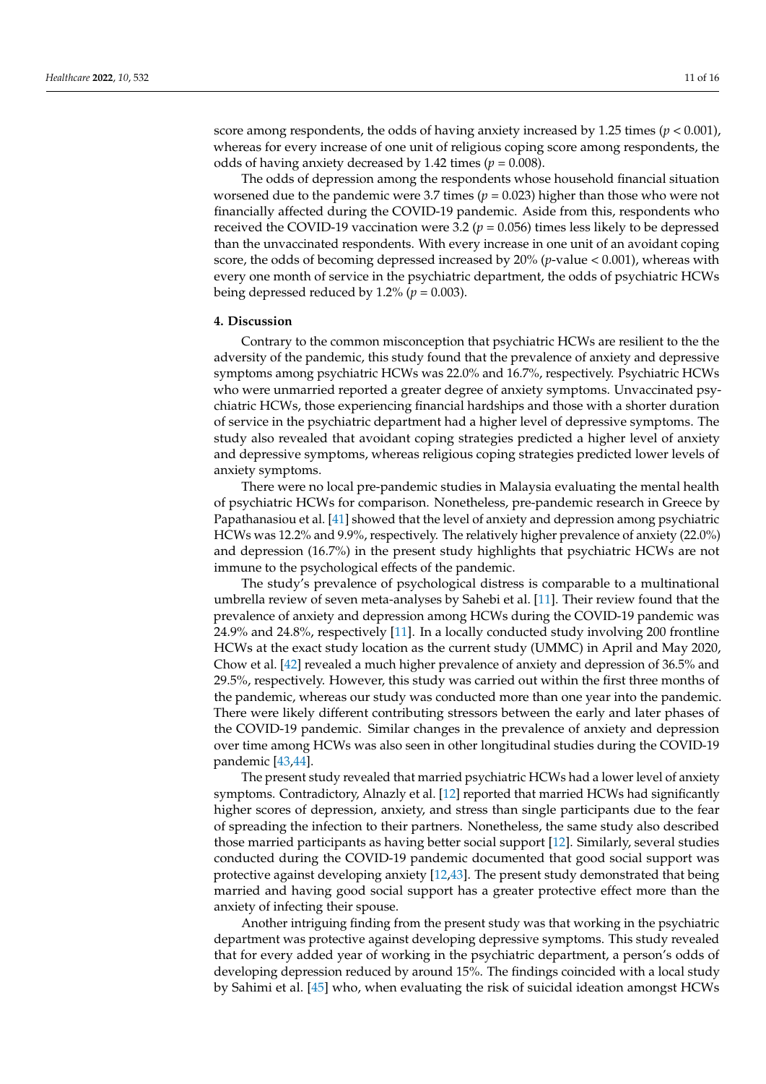score among respondents, the odds of having anxiety increased by 1.25 times ( $p < 0.001$ ), whereas for every increase of one unit of religious coping score among respondents, the odds of having anxiety decreased by 1.42 times ( $p = 0.008$ ).

The odds of depression among the respondents whose household financial situation worsened due to the pandemic were 3.7 times (*p* = 0.023) higher than those who were not financially affected during the COVID-19 pandemic. Aside from this, respondents who received the COVID-19 vaccination were 3.2 ( $p = 0.056$ ) times less likely to be depressed than the unvaccinated respondents. With every increase in one unit of an avoidant coping score, the odds of becoming depressed increased by 20% (*p*-value < 0.001), whereas with every one month of service in the psychiatric department, the odds of psychiatric HCWs being depressed reduced by 1.2% ( $p = 0.003$ ).

#### **4. Discussion**

Contrary to the common misconception that psychiatric HCWs are resilient to the the adversity of the pandemic, this study found that the prevalence of anxiety and depressive symptoms among psychiatric HCWs was 22.0% and 16.7%, respectively. Psychiatric HCWs who were unmarried reported a greater degree of anxiety symptoms. Unvaccinated psychiatric HCWs, those experiencing financial hardships and those with a shorter duration of service in the psychiatric department had a higher level of depressive symptoms. The study also revealed that avoidant coping strategies predicted a higher level of anxiety and depressive symptoms, whereas religious coping strategies predicted lower levels of anxiety symptoms.

There were no local pre-pandemic studies in Malaysia evaluating the mental health of psychiatric HCWs for comparison. Nonetheless, pre-pandemic research in Greece by Papathanasiou et al. [\[41\]](#page-14-18) showed that the level of anxiety and depression among psychiatric HCWs was 12.2% and 9.9%, respectively. The relatively higher prevalence of anxiety (22.0%) and depression (16.7%) in the present study highlights that psychiatric HCWs are not immune to the psychological effects of the pandemic.

The study's prevalence of psychological distress is comparable to a multinational umbrella review of seven meta-analyses by Sahebi et al. [\[11\]](#page-13-10). Their review found that the prevalence of anxiety and depression among HCWs during the COVID-19 pandemic was 24.9% and 24.8%, respectively [\[11\]](#page-13-10). In a locally conducted study involving 200 frontline HCWs at the exact study location as the current study (UMMC) in April and May 2020, Chow et al. [\[42\]](#page-14-19) revealed a much higher prevalence of anxiety and depression of 36.5% and 29.5%, respectively. However, this study was carried out within the first three months of the pandemic, whereas our study was conducted more than one year into the pandemic. There were likely different contributing stressors between the early and later phases of the COVID-19 pandemic. Similar changes in the prevalence of anxiety and depression over time among HCWs was also seen in other longitudinal studies during the COVID-19 pandemic [\[43,](#page-14-20)[44\]](#page-14-21).

The present study revealed that married psychiatric HCWs had a lower level of anxiety symptoms. Contradictory, Alnazly et al. [\[12\]](#page-13-11) reported that married HCWs had significantly higher scores of depression, anxiety, and stress than single participants due to the fear of spreading the infection to their partners. Nonetheless, the same study also described those married participants as having better social support [\[12\]](#page-13-11). Similarly, several studies conducted during the COVID-19 pandemic documented that good social support was protective against developing anxiety [\[12,](#page-13-11)[43\]](#page-14-20). The present study demonstrated that being married and having good social support has a greater protective effect more than the anxiety of infecting their spouse.

Another intriguing finding from the present study was that working in the psychiatric department was protective against developing depressive symptoms. This study revealed that for every added year of working in the psychiatric department, a person's odds of developing depression reduced by around 15%. The findings coincided with a local study by Sahimi et al. [\[45\]](#page-14-22) who, when evaluating the risk of suicidal ideation amongst HCWs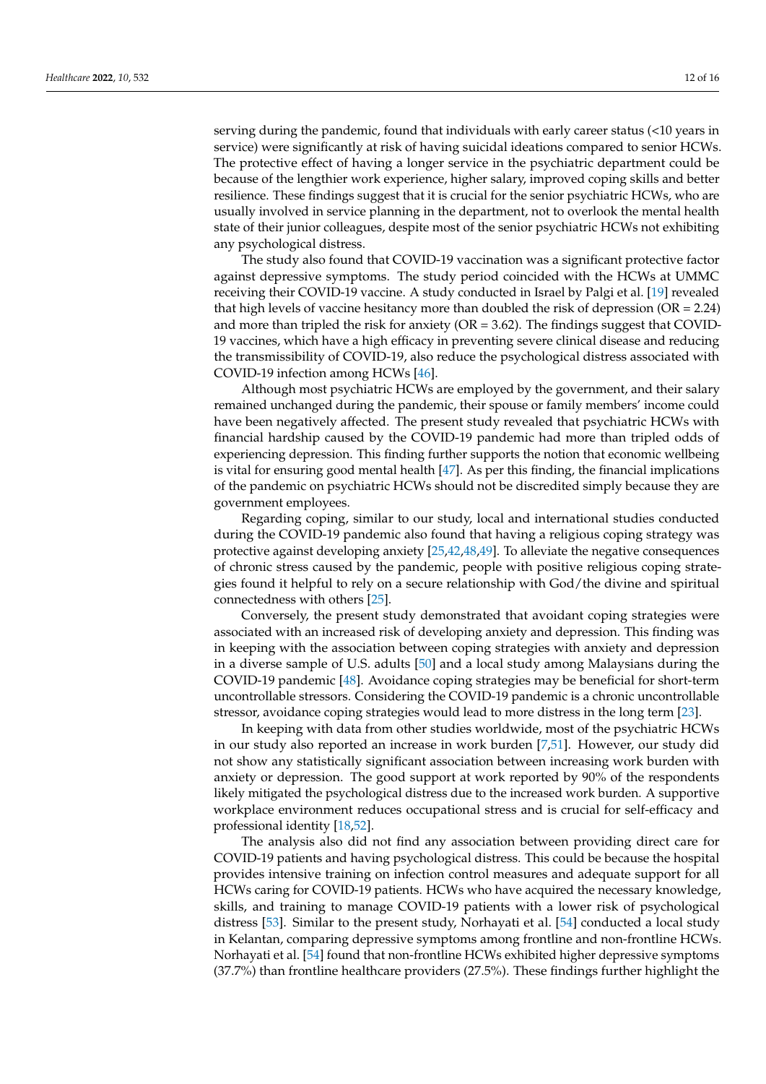serving during the pandemic, found that individuals with early career status (<10 years in service) were significantly at risk of having suicidal ideations compared to senior HCWs. The protective effect of having a longer service in the psychiatric department could be because of the lengthier work experience, higher salary, improved coping skills and better resilience. These findings suggest that it is crucial for the senior psychiatric HCWs, who are usually involved in service planning in the department, not to overlook the mental health state of their junior colleagues, despite most of the senior psychiatric HCWs not exhibiting any psychological distress.

The study also found that COVID-19 vaccination was a significant protective factor against depressive symptoms. The study period coincided with the HCWs at UMMC receiving their COVID-19 vaccine. A study conducted in Israel by Palgi et al. [\[19\]](#page-13-18) revealed that high levels of vaccine hesitancy more than doubled the risk of depression ( $OR = 2.24$ ) and more than tripled the risk for anxiety ( $OR = 3.62$ ). The findings suggest that COVID-19 vaccines, which have a high efficacy in preventing severe clinical disease and reducing the transmissibility of COVID-19, also reduce the psychological distress associated with COVID-19 infection among HCWs [\[46\]](#page-15-0).

Although most psychiatric HCWs are employed by the government, and their salary remained unchanged during the pandemic, their spouse or family members' income could have been negatively affected. The present study revealed that psychiatric HCWs with financial hardship caused by the COVID-19 pandemic had more than tripled odds of experiencing depression. This finding further supports the notion that economic wellbeing is vital for ensuring good mental health [\[47\]](#page-15-1). As per this finding, the financial implications of the pandemic on psychiatric HCWs should not be discredited simply because they are government employees.

Regarding coping, similar to our study, local and international studies conducted during the COVID-19 pandemic also found that having a religious coping strategy was protective against developing anxiety [\[25,](#page-14-4)[42](#page-14-19)[,48](#page-15-2)[,49\]](#page-15-3). To alleviate the negative consequences of chronic stress caused by the pandemic, people with positive religious coping strategies found it helpful to rely on a secure relationship with God/the divine and spiritual connectedness with others [\[25\]](#page-14-4).

Conversely, the present study demonstrated that avoidant coping strategies were associated with an increased risk of developing anxiety and depression. This finding was in keeping with the association between coping strategies with anxiety and depression in a diverse sample of U.S. adults [\[50\]](#page-15-4) and a local study among Malaysians during the COVID-19 pandemic [\[48\]](#page-15-2). Avoidance coping strategies may be beneficial for short-term uncontrollable stressors. Considering the COVID-19 pandemic is a chronic uncontrollable stressor, avoidance coping strategies would lead to more distress in the long term [\[23\]](#page-14-2).

In keeping with data from other studies worldwide, most of the psychiatric HCWs in our study also reported an increase in work burden [\[7,](#page-13-7)[51\]](#page-15-5). However, our study did not show any statistically significant association between increasing work burden with anxiety or depression. The good support at work reported by 90% of the respondents likely mitigated the psychological distress due to the increased work burden. A supportive workplace environment reduces occupational stress and is crucial for self-efficacy and professional identity [\[18,](#page-13-17)[52\]](#page-15-6).

The analysis also did not find any association between providing direct care for COVID-19 patients and having psychological distress. This could be because the hospital provides intensive training on infection control measures and adequate support for all HCWs caring for COVID-19 patients. HCWs who have acquired the necessary knowledge, skills, and training to manage COVID-19 patients with a lower risk of psychological distress [\[53\]](#page-15-7). Similar to the present study, Norhayati et al. [\[54\]](#page-15-8) conducted a local study in Kelantan, comparing depressive symptoms among frontline and non-frontline HCWs. Norhayati et al. [\[54\]](#page-15-8) found that non-frontline HCWs exhibited higher depressive symptoms (37.7%) than frontline healthcare providers (27.5%). These findings further highlight the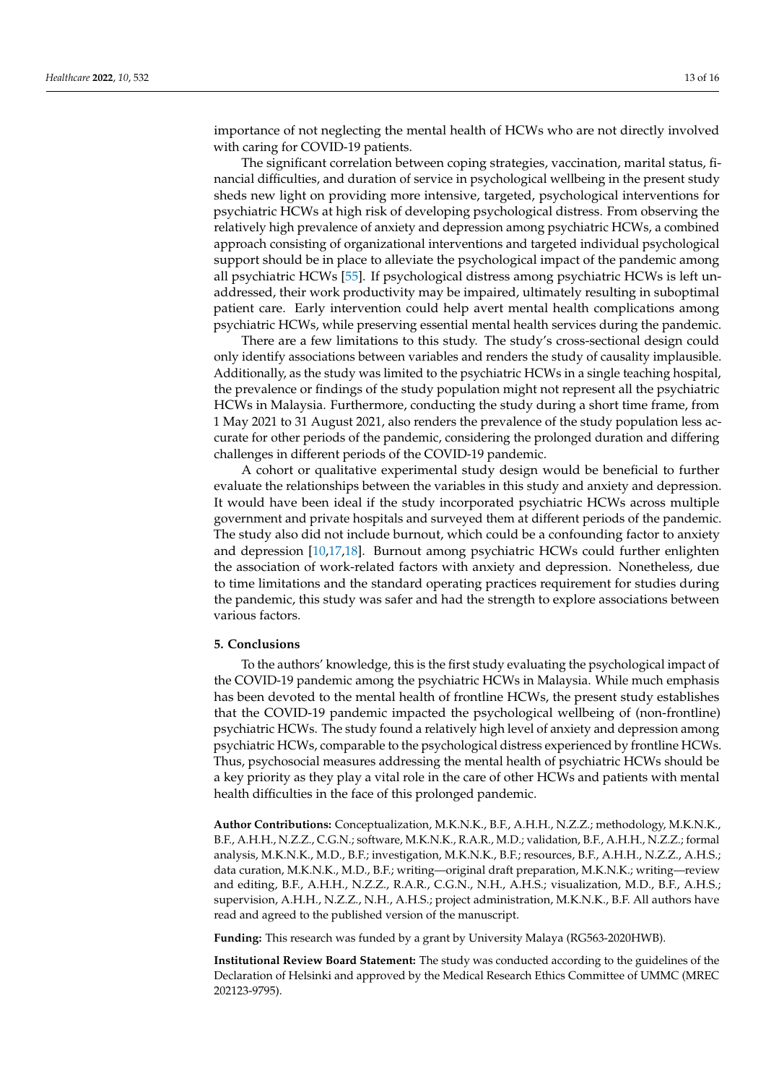importance of not neglecting the mental health of HCWs who are not directly involved with caring for COVID-19 patients.

The significant correlation between coping strategies, vaccination, marital status, financial difficulties, and duration of service in psychological wellbeing in the present study sheds new light on providing more intensive, targeted, psychological interventions for psychiatric HCWs at high risk of developing psychological distress. From observing the relatively high prevalence of anxiety and depression among psychiatric HCWs, a combined approach consisting of organizational interventions and targeted individual psychological support should be in place to alleviate the psychological impact of the pandemic among all psychiatric HCWs [\[55\]](#page-15-9). If psychological distress among psychiatric HCWs is left unaddressed, their work productivity may be impaired, ultimately resulting in suboptimal patient care. Early intervention could help avert mental health complications among psychiatric HCWs, while preserving essential mental health services during the pandemic.

There are a few limitations to this study. The study's cross-sectional design could only identify associations between variables and renders the study of causality implausible. Additionally, as the study was limited to the psychiatric HCWs in a single teaching hospital, the prevalence or findings of the study population might not represent all the psychiatric HCWs in Malaysia. Furthermore, conducting the study during a short time frame, from 1 May 2021 to 31 August 2021, also renders the prevalence of the study population less accurate for other periods of the pandemic, considering the prolonged duration and differing challenges in different periods of the COVID-19 pandemic.

A cohort or qualitative experimental study design would be beneficial to further evaluate the relationships between the variables in this study and anxiety and depression. It would have been ideal if the study incorporated psychiatric HCWs across multiple government and private hospitals and surveyed them at different periods of the pandemic. The study also did not include burnout, which could be a confounding factor to anxiety and depression [\[10,](#page-13-9)[17,](#page-13-16)[18\]](#page-13-17). Burnout among psychiatric HCWs could further enlighten the association of work-related factors with anxiety and depression. Nonetheless, due to time limitations and the standard operating practices requirement for studies during the pandemic, this study was safer and had the strength to explore associations between various factors.

#### **5. Conclusions**

To the authors' knowledge, this is the first study evaluating the psychological impact of the COVID-19 pandemic among the psychiatric HCWs in Malaysia. While much emphasis has been devoted to the mental health of frontline HCWs, the present study establishes that the COVID-19 pandemic impacted the psychological wellbeing of (non-frontline) psychiatric HCWs. The study found a relatively high level of anxiety and depression among psychiatric HCWs, comparable to the psychological distress experienced by frontline HCWs. Thus, psychosocial measures addressing the mental health of psychiatric HCWs should be a key priority as they play a vital role in the care of other HCWs and patients with mental health difficulties in the face of this prolonged pandemic.

**Author Contributions:** Conceptualization, M.K.N.K., B.F., A.H.H., N.Z.Z.; methodology, M.K.N.K., B.F., A.H.H., N.Z.Z., C.G.N.; software, M.K.N.K., R.A.R., M.D.; validation, B.F., A.H.H., N.Z.Z.; formal analysis, M.K.N.K., M.D., B.F.; investigation, M.K.N.K., B.F.; resources, B.F., A.H.H., N.Z.Z., A.H.S.; data curation, M.K.N.K., M.D., B.F.; writing—original draft preparation, M.K.N.K.; writing—review and editing, B.F., A.H.H., N.Z.Z., R.A.R., C.G.N., N.H., A.H.S.; visualization, M.D., B.F., A.H.S.; supervision, A.H.H., N.Z.Z., N.H., A.H.S.; project administration, M.K.N.K., B.F. All authors have read and agreed to the published version of the manuscript.

**Funding:** This research was funded by a grant by University Malaya (RG563-2020HWB).

**Institutional Review Board Statement:** The study was conducted according to the guidelines of the Declaration of Helsinki and approved by the Medical Research Ethics Committee of UMMC (MREC 202123-9795).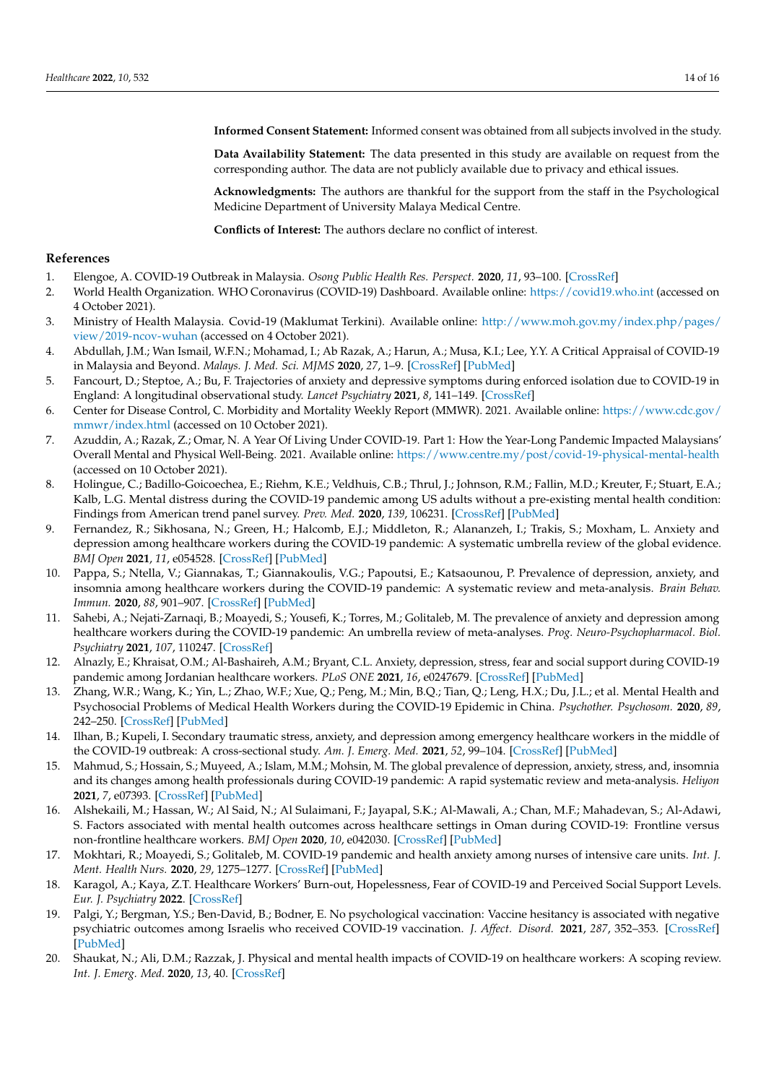**Informed Consent Statement:** Informed consent was obtained from all subjects involved in the study.

**Data Availability Statement:** The data presented in this study are available on request from the corresponding author. The data are not publicly available due to privacy and ethical issues.

**Acknowledgments:** The authors are thankful for the support from the staff in the Psychological Medicine Department of University Malaya Medical Centre.

**Conflicts of Interest:** The authors declare no conflict of interest.

## **References**

- <span id="page-13-0"></span>1. Elengoe, A. COVID-19 Outbreak in Malaysia. *Osong Public Health Res. Perspect.* **2020**, *11*, 93–100. [\[CrossRef\]](http://doi.org/10.24171/j.phrp.2020.11.3.08)
- <span id="page-13-1"></span>2. World Health Organization. WHO Coronavirus (COVID-19) Dashboard. Available online: <https://covid19.who.int> (accessed on 4 October 2021).
- <span id="page-13-2"></span>3. Ministry of Health Malaysia. Covid-19 (Maklumat Terkini). Available online: [http://www.moh.gov.my/index.php/pages/](http://www.moh.gov.my/index.php/pages/view/2019-ncov-wuhan) [view/2019-ncov-wuhan](http://www.moh.gov.my/index.php/pages/view/2019-ncov-wuhan) (accessed on 4 October 2021).
- <span id="page-13-3"></span>4. Abdullah, J.M.; Wan Ismail, W.F.N.; Mohamad, I.; Ab Razak, A.; Harun, A.; Musa, K.I.; Lee, Y.Y. A Critical Appraisal of COVID-19 in Malaysia and Beyond. *Malays. J. Med. Sci. MJMS* **2020**, *27*, 1–9. [\[CrossRef\]](http://doi.org/10.21315/mjms2020.27.2.1) [\[PubMed\]](http://www.ncbi.nlm.nih.gov/pubmed/32308536)
- <span id="page-13-4"></span>5. Fancourt, D.; Steptoe, A.; Bu, F. Trajectories of anxiety and depressive symptoms during enforced isolation due to COVID-19 in England: A longitudinal observational study. *Lancet Psychiatry* **2021**, *8*, 141–149. [\[CrossRef\]](http://doi.org/10.1016/S2215-0366(20)30482-X)
- <span id="page-13-6"></span>6. Center for Disease Control, C. Morbidity and Mortality Weekly Report (MMWR). 2021. Available online: [https://www.cdc.gov/](https://www.cdc.gov/mmwr/index.html) [mmwr/index.html](https://www.cdc.gov/mmwr/index.html) (accessed on 10 October 2021).
- <span id="page-13-7"></span>7. Azuddin, A.; Razak, Z.; Omar, N. A Year Of Living Under COVID-19. Part 1: How the Year-Long Pandemic Impacted Malaysians' Overall Mental and Physical Well-Being. 2021. Available online: <https://www.centre.my/post/covid-19-physical-mental-health> (accessed on 10 October 2021).
- <span id="page-13-5"></span>8. Holingue, C.; Badillo-Goicoechea, E.; Riehm, K.E.; Veldhuis, C.B.; Thrul, J.; Johnson, R.M.; Fallin, M.D.; Kreuter, F.; Stuart, E.A.; Kalb, L.G. Mental distress during the COVID-19 pandemic among US adults without a pre-existing mental health condition: Findings from American trend panel survey. *Prev. Med.* **2020**, *139*, 106231. [\[CrossRef\]](http://doi.org/10.1016/j.ypmed.2020.106231) [\[PubMed\]](http://www.ncbi.nlm.nih.gov/pubmed/32758507)
- <span id="page-13-8"></span>9. Fernandez, R.; Sikhosana, N.; Green, H.; Halcomb, E.J.; Middleton, R.; Alananzeh, I.; Trakis, S.; Moxham, L. Anxiety and depression among healthcare workers during the COVID-19 pandemic: A systematic umbrella review of the global evidence. *BMJ Open* **2021**, *11*, e054528. [\[CrossRef\]](http://doi.org/10.1136/bmjopen-2021-054528) [\[PubMed\]](http://www.ncbi.nlm.nih.gov/pubmed/34548373)
- <span id="page-13-9"></span>10. Pappa, S.; Ntella, V.; Giannakas, T.; Giannakoulis, V.G.; Papoutsi, E.; Katsaounou, P. Prevalence of depression, anxiety, and insomnia among healthcare workers during the COVID-19 pandemic: A systematic review and meta-analysis. *Brain Behav. Immun.* **2020**, *88*, 901–907. [\[CrossRef\]](http://doi.org/10.1016/j.bbi.2020.05.026) [\[PubMed\]](http://www.ncbi.nlm.nih.gov/pubmed/32437915)
- <span id="page-13-10"></span>11. Sahebi, A.; Nejati-Zarnaqi, B.; Moayedi, S.; Yousefi, K.; Torres, M.; Golitaleb, M. The prevalence of anxiety and depression among healthcare workers during the COVID-19 pandemic: An umbrella review of meta-analyses. *Prog. Neuro-Psychopharmacol. Biol. Psychiatry* **2021**, *107*, 110247. [\[CrossRef\]](http://doi.org/10.1016/j.pnpbp.2021.110247)
- <span id="page-13-11"></span>12. Alnazly, E.; Khraisat, O.M.; Al-Bashaireh, A.M.; Bryant, C.L. Anxiety, depression, stress, fear and social support during COVID-19 pandemic among Jordanian healthcare workers. *PLoS ONE* **2021**, *16*, e0247679. [\[CrossRef\]](http://doi.org/10.1371/journal.pone.0247679) [\[PubMed\]](http://www.ncbi.nlm.nih.gov/pubmed/33711026)
- <span id="page-13-12"></span>13. Zhang, W.R.; Wang, K.; Yin, L.; Zhao, W.F.; Xue, Q.; Peng, M.; Min, B.Q.; Tian, Q.; Leng, H.X.; Du, J.L.; et al. Mental Health and Psychosocial Problems of Medical Health Workers during the COVID-19 Epidemic in China. *Psychother. Psychosom.* **2020**, *89*, 242–250. [\[CrossRef\]](http://doi.org/10.1159/000507639) [\[PubMed\]](http://www.ncbi.nlm.nih.gov/pubmed/32272480)
- <span id="page-13-13"></span>14. Ilhan, B.; Kupeli, I. Secondary traumatic stress, anxiety, and depression among emergency healthcare workers in the middle of the COVID-19 outbreak: A cross-sectional study. *Am. J. Emerg. Med.* **2021**, *52*, 99–104. [\[CrossRef\]](http://doi.org/10.1016/j.ajem.2021.11.051) [\[PubMed\]](http://www.ncbi.nlm.nih.gov/pubmed/34894474)
- <span id="page-13-14"></span>15. Mahmud, S.; Hossain, S.; Muyeed, A.; Islam, M.M.; Mohsin, M. The global prevalence of depression, anxiety, stress, and, insomnia and its changes among health professionals during COVID-19 pandemic: A rapid systematic review and meta-analysis. *Heliyon* **2021**, *7*, e07393. [\[CrossRef\]](http://doi.org/10.1016/j.heliyon.2021.e07393) [\[PubMed\]](http://www.ncbi.nlm.nih.gov/pubmed/34278018)
- <span id="page-13-15"></span>16. Alshekaili, M.; Hassan, W.; Al Said, N.; Al Sulaimani, F.; Jayapal, S.K.; Al-Mawali, A.; Chan, M.F.; Mahadevan, S.; Al-Adawi, S. Factors associated with mental health outcomes across healthcare settings in Oman during COVID-19: Frontline versus non-frontline healthcare workers. *BMJ Open* **2020**, *10*, e042030. [\[CrossRef\]](http://doi.org/10.1136/bmjopen-2020-042030) [\[PubMed\]](http://www.ncbi.nlm.nih.gov/pubmed/33040019)
- <span id="page-13-16"></span>17. Mokhtari, R.; Moayedi, S.; Golitaleb, M. COVID-19 pandemic and health anxiety among nurses of intensive care units. *Int. J. Ment. Health Nurs.* **2020**, *29*, 1275–1277. [\[CrossRef\]](http://doi.org/10.1111/inm.12800) [\[PubMed\]](http://www.ncbi.nlm.nih.gov/pubmed/33063915)
- <span id="page-13-17"></span>18. Karagol, A.; Kaya, Z.T. Healthcare Workers' Burn-out, Hopelessness, Fear of COVID-19 and Perceived Social Support Levels. *Eur. J. Psychiatry* **2022**. [\[CrossRef\]](http://doi.org/10.1016/j.ejpsy.2022.01.001)
- <span id="page-13-18"></span>19. Palgi, Y.; Bergman, Y.S.; Ben-David, B.; Bodner, E. No psychological vaccination: Vaccine hesitancy is associated with negative psychiatric outcomes among Israelis who received COVID-19 vaccination. *J. Affect. Disord.* **2021**, *287*, 352–353. [\[CrossRef\]](http://doi.org/10.1016/j.jad.2021.03.064) [\[PubMed\]](http://www.ncbi.nlm.nih.gov/pubmed/33819733)
- <span id="page-13-19"></span>20. Shaukat, N.; Ali, D.M.; Razzak, J. Physical and mental health impacts of COVID-19 on healthcare workers: A scoping review. *Int. J. Emerg. Med.* **2020**, *13*, 40. [\[CrossRef\]](http://doi.org/10.1186/s12245-020-00299-5)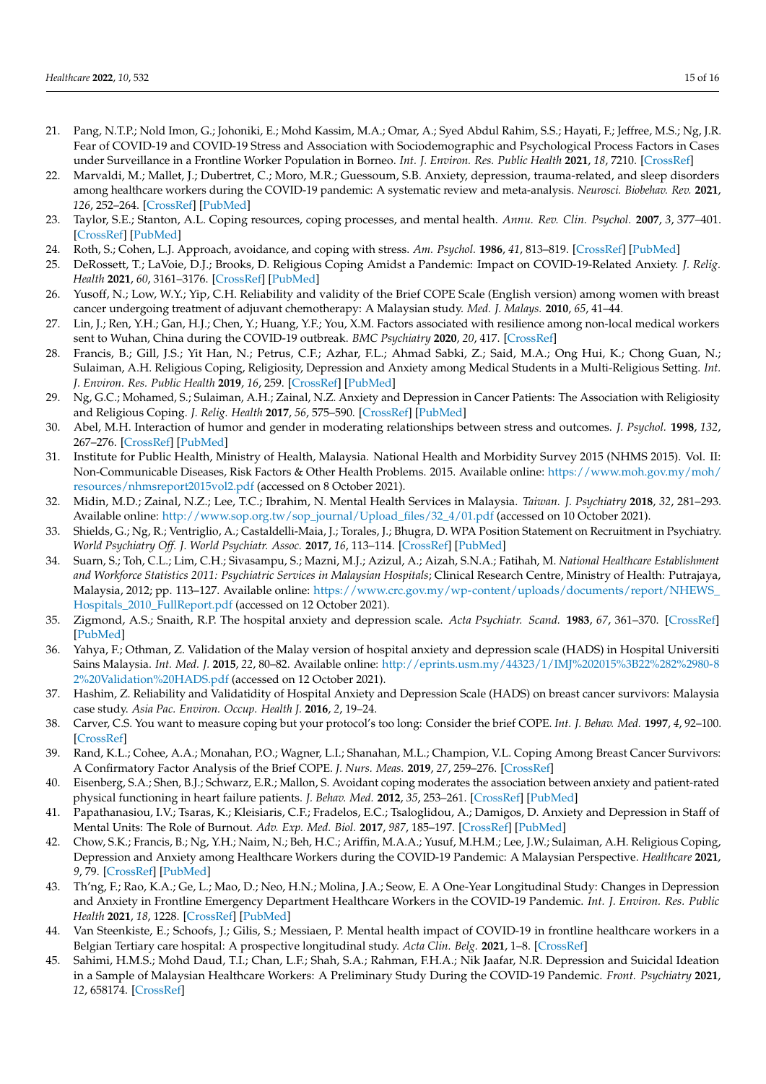- <span id="page-14-0"></span>21. Pang, N.T.P.; Nold Imon, G.; Johoniki, E.; Mohd Kassim, M.A.; Omar, A.; Syed Abdul Rahim, S.S.; Hayati, F.; Jeffree, M.S.; Ng, J.R. Fear of COVID-19 and COVID-19 Stress and Association with Sociodemographic and Psychological Process Factors in Cases under Surveillance in a Frontline Worker Population in Borneo. *Int. J. Environ. Res. Public Health* **2021**, *18*, 7210. [\[CrossRef\]](http://doi.org/10.3390/ijerph18137210)
- <span id="page-14-1"></span>22. Marvaldi, M.; Mallet, J.; Dubertret, C.; Moro, M.R.; Guessoum, S.B. Anxiety, depression, trauma-related, and sleep disorders among healthcare workers during the COVID-19 pandemic: A systematic review and meta-analysis. *Neurosci. Biobehav. Rev.* **2021**, *126*, 252–264. [\[CrossRef\]](http://doi.org/10.1016/j.neubiorev.2021.03.024) [\[PubMed\]](http://www.ncbi.nlm.nih.gov/pubmed/33774085)
- <span id="page-14-2"></span>23. Taylor, S.E.; Stanton, A.L. Coping resources, coping processes, and mental health. *Annu. Rev. Clin. Psychol.* **2007**, *3*, 377–401. [\[CrossRef\]](http://doi.org/10.1146/annurev.clinpsy.3.022806.091520) [\[PubMed\]](http://www.ncbi.nlm.nih.gov/pubmed/17716061)
- <span id="page-14-3"></span>24. Roth, S.; Cohen, L.J. Approach, avoidance, and coping with stress. *Am. Psychol.* **1986**, *41*, 813–819. [\[CrossRef\]](http://doi.org/10.1037/0003-066X.41.7.813) [\[PubMed\]](http://www.ncbi.nlm.nih.gov/pubmed/3740641)
- <span id="page-14-4"></span>25. DeRossett, T.; LaVoie, D.J.; Brooks, D. Religious Coping Amidst a Pandemic: Impact on COVID-19-Related Anxiety. *J. Relig. Health* **2021**, *60*, 3161–3176. [\[CrossRef\]](http://doi.org/10.1007/s10943-021-01385-5) [\[PubMed\]](http://www.ncbi.nlm.nih.gov/pubmed/34406544)
- <span id="page-14-5"></span>26. Yusoff, N.; Low, W.Y.; Yip, C.H. Reliability and validity of the Brief COPE Scale (English version) among women with breast cancer undergoing treatment of adjuvant chemotherapy: A Malaysian study. *Med. J. Malays.* **2010**, *65*, 41–44.
- 27. Lin, J.; Ren, Y.H.; Gan, H.J.; Chen, Y.; Huang, Y.F.; You, X.M. Factors associated with resilience among non-local medical workers sent to Wuhan, China during the COVID-19 outbreak. *BMC Psychiatry* **2020**, *20*, 417. [\[CrossRef\]](http://doi.org/10.1186/s12888-020-02821-8)
- 28. Francis, B.; Gill, J.S.; Yit Han, N.; Petrus, C.F.; Azhar, F.L.; Ahmad Sabki, Z.; Said, M.A.; Ong Hui, K.; Chong Guan, N.; Sulaiman, A.H. Religious Coping, Religiosity, Depression and Anxiety among Medical Students in a Multi-Religious Setting. *Int. J. Environ. Res. Public Health* **2019**, *16*, 259. [\[CrossRef\]](http://doi.org/10.3390/ijerph16020259) [\[PubMed\]](http://www.ncbi.nlm.nih.gov/pubmed/30658450)
- <span id="page-14-6"></span>29. Ng, G.C.; Mohamed, S.; Sulaiman, A.H.; Zainal, N.Z. Anxiety and Depression in Cancer Patients: The Association with Religiosity and Religious Coping. *J. Relig. Health* **2017**, *56*, 575–590. [\[CrossRef\]](http://doi.org/10.1007/s10943-016-0267-y) [\[PubMed\]](http://www.ncbi.nlm.nih.gov/pubmed/27287259)
- <span id="page-14-7"></span>30. Abel, M.H. Interaction of humor and gender in moderating relationships between stress and outcomes. *J. Psychol.* **1998**, *132*, 267–276. [\[CrossRef\]](http://doi.org/10.1080/00223989809599166) [\[PubMed\]](http://www.ncbi.nlm.nih.gov/pubmed/9540225)
- <span id="page-14-8"></span>31. Institute for Public Health, Ministry of Health, Malaysia. National Health and Morbidity Survey 2015 (NHMS 2015). Vol. II: Non-Communicable Diseases, Risk Factors & Other Health Problems. 2015. Available online: [https://www.moh.gov.my/moh/](https://www.moh.gov.my/moh/resources/nhmsreport2015vol2.pdf) [resources/nhmsreport2015vol2.pdf](https://www.moh.gov.my/moh/resources/nhmsreport2015vol2.pdf) (accessed on 8 October 2021).
- <span id="page-14-9"></span>32. Midin, M.D.; Zainal, N.Z.; Lee, T.C.; Ibrahim, N. Mental Health Services in Malaysia. *Taiwan. J. Psychiatry* **2018**, *32*, 281–293. Available online: [http://www.sop.org.tw/sop\\_journal/Upload\\_files/32\\_4/01.pdf](http://www.sop.org.tw/sop_journal/Upload_files/32_4/01.pdf) (accessed on 10 October 2021).
- <span id="page-14-10"></span>33. Shields, G.; Ng, R.; Ventriglio, A.; Castaldelli-Maia, J.; Torales, J.; Bhugra, D. WPA Position Statement on Recruitment in Psychiatry. *World Psychiatry Off. J. World Psychiatr. Assoc.* **2017**, *16*, 113–114. [\[CrossRef\]](http://doi.org/10.1002/wps.20392) [\[PubMed\]](http://www.ncbi.nlm.nih.gov/pubmed/28127914)
- <span id="page-14-11"></span>34. Suarn, S.; Toh, C.L.; Lim, C.H.; Sivasampu, S.; Mazni, M.J.; Azizul, A.; Aizah, S.N.A.; Fatihah, M. *National Healthcare Establishment and Workforce Statistics 2011: Psychiatric Services in Malaysian Hospitals*; Clinical Research Centre, Ministry of Health: Putrajaya, Malaysia, 2012; pp. 113–127. Available online: [https://www.crc.gov.my/wp-content/uploads/documents/report/NHEWS\\_](https://www.crc.gov.my/wp-content/uploads/documents/report/NHEWS_Hospitals_2010_FullReport.pdf) [Hospitals\\_2010\\_FullReport.pdf](https://www.crc.gov.my/wp-content/uploads/documents/report/NHEWS_Hospitals_2010_FullReport.pdf) (accessed on 12 October 2021).
- <span id="page-14-12"></span>35. Zigmond, A.S.; Snaith, R.P. The hospital anxiety and depression scale. *Acta Psychiatr. Scand.* **1983**, *67*, 361–370. [\[CrossRef\]](http://doi.org/10.1111/j.1600-0447.1983.tb09716.x) [\[PubMed\]](http://www.ncbi.nlm.nih.gov/pubmed/6880820)
- <span id="page-14-13"></span>36. Yahya, F.; Othman, Z. Validation of the Malay version of hospital anxiety and depression scale (HADS) in Hospital Universiti Sains Malaysia. *Int. Med. J.* **2015**, *22*, 80–82. Available online: [http://eprints.usm.my/44323/1/IMJ%202015%3B22%282%2980-8](http://eprints.usm.my/44323/1/IMJ%202015%3B22%282%2980-82%20Validation%20HADS.pdf) [2%20Validation%20HADS.pdf](http://eprints.usm.my/44323/1/IMJ%202015%3B22%282%2980-82%20Validation%20HADS.pdf) (accessed on 12 October 2021).
- <span id="page-14-14"></span>37. Hashim, Z. Reliability and Validatidity of Hospital Anxiety and Depression Scale (HADS) on breast cancer survivors: Malaysia case study. *Asia Pac. Environ. Occup. Health J.* **2016**, *2*, 19–24.
- <span id="page-14-15"></span>38. Carver, C.S. You want to measure coping but your protocol's too long: Consider the brief COPE. *Int. J. Behav. Med.* **1997**, *4*, 92–100. [\[CrossRef\]](http://doi.org/10.1207/s15327558ijbm0401_6)
- <span id="page-14-16"></span>39. Rand, K.L.; Cohee, A.A.; Monahan, P.O.; Wagner, L.I.; Shanahan, M.L.; Champion, V.L. Coping Among Breast Cancer Survivors: A Confirmatory Factor Analysis of the Brief COPE. *J. Nurs. Meas.* **2019**, *27*, 259–276. [\[CrossRef\]](http://doi.org/10.1891/1061-3749.27.2.259)
- <span id="page-14-17"></span>40. Eisenberg, S.A.; Shen, B.J.; Schwarz, E.R.; Mallon, S. Avoidant coping moderates the association between anxiety and patient-rated physical functioning in heart failure patients. *J. Behav. Med.* **2012**, *35*, 253–261. [\[CrossRef\]](http://doi.org/10.1007/s10865-011-9358-0) [\[PubMed\]](http://www.ncbi.nlm.nih.gov/pubmed/21660588)
- <span id="page-14-18"></span>41. Papathanasiou, I.V.; Tsaras, K.; Kleisiaris, C.F.; Fradelos, E.C.; Tsaloglidou, A.; Damigos, D. Anxiety and Depression in Staff of Mental Units: The Role of Burnout. *Adv. Exp. Med. Biol.* **2017**, *987*, 185–197. [\[CrossRef\]](http://doi.org/10.1007/978-3-319-57379-3_17) [\[PubMed\]](http://www.ncbi.nlm.nih.gov/pubmed/28971458)
- <span id="page-14-19"></span>42. Chow, S.K.; Francis, B.; Ng, Y.H.; Naim, N.; Beh, H.C.; Ariffin, M.A.A.; Yusuf, M.H.M.; Lee, J.W.; Sulaiman, A.H. Religious Coping, Depression and Anxiety among Healthcare Workers during the COVID-19 Pandemic: A Malaysian Perspective. *Healthcare* **2021**, *9*, 79. [\[CrossRef\]](http://doi.org/10.3390/healthcare9010079) [\[PubMed\]](http://www.ncbi.nlm.nih.gov/pubmed/33467744)
- <span id="page-14-20"></span>43. Th'ng, F.; Rao, K.A.; Ge, L.; Mao, D.; Neo, H.N.; Molina, J.A.; Seow, E. A One-Year Longitudinal Study: Changes in Depression and Anxiety in Frontline Emergency Department Healthcare Workers in the COVID-19 Pandemic. *Int. J. Environ. Res. Public Health* **2021**, *18*, 1228. [\[CrossRef\]](http://doi.org/10.3390/ijerph182111228) [\[PubMed\]](http://www.ncbi.nlm.nih.gov/pubmed/34769750)
- <span id="page-14-21"></span>44. Van Steenkiste, E.; Schoofs, J.; Gilis, S.; Messiaen, P. Mental health impact of COVID-19 in frontline healthcare workers in a Belgian Tertiary care hospital: A prospective longitudinal study. *Acta Clin. Belg.* **2021**, 1–8. [\[CrossRef\]](http://doi.org/10.1080/17843286.2021.1903660)
- <span id="page-14-22"></span>45. Sahimi, H.M.S.; Mohd Daud, T.I.; Chan, L.F.; Shah, S.A.; Rahman, F.H.A.; Nik Jaafar, N.R. Depression and Suicidal Ideation in a Sample of Malaysian Healthcare Workers: A Preliminary Study During the COVID-19 Pandemic. *Front. Psychiatry* **2021**, *12*, 658174. [\[CrossRef\]](http://doi.org/10.3389/fpsyt.2021.658174)